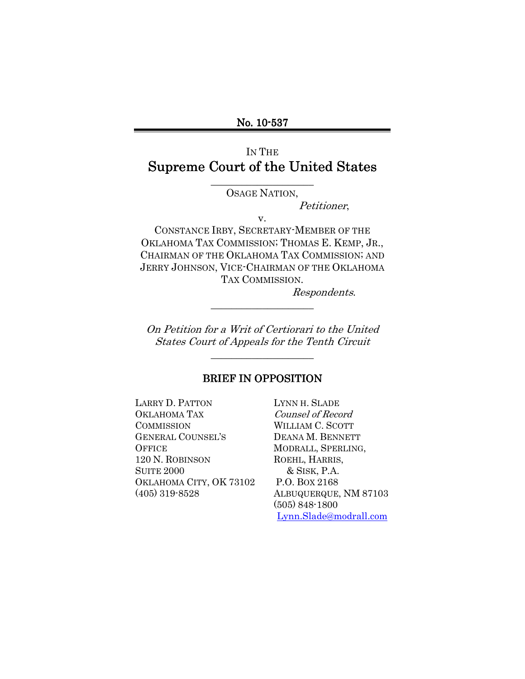# IN THE Supreme Court of the United States

\_\_\_\_\_\_\_\_\_\_\_\_\_\_\_\_\_\_\_\_ OSAGE NATION,

Petitioner,

v.

CONSTANCE IRBY, SECRETARY-MEMBER OF THE OKLAHOMA TAX COMMISSION; THOMAS E. KEMP, JR., CHAIRMAN OF THE OKLAHOMA TAX COMMISSION; AND JERRY JOHNSON, VICE-CHAIRMAN OF THE OKLAHOMA TAX COMMISSION.

Respondents.

On Petition for a Writ of Certiorari to the United States Court of Appeals for the Tenth Circuit

\_\_\_\_\_\_\_\_\_\_\_\_\_\_\_\_\_\_\_\_

\_\_\_\_\_\_\_\_\_\_\_\_\_\_\_\_\_\_\_\_

#### BRIEF IN OPPOSITION

LARRY D. PATTON LYNN H. SLADE OKLAHOMA TAX Counsel of Record COMMISSION WILLIAM C. SCOTT GENERAL COUNSEL'S DEANA M. BENNETT OFFICE MODRALL, SPERLING, 120 N. ROBINSON ROEHL, HARRIS, SUITE 2000 & SISK, P.A. OKLAHOMA CITY, OK 73102 P.O. BOX 2168 (405) 319-8528 ALBUQUERQUE, NM 87103

 (505) 848-1800 Lynn.Slade@modrall.com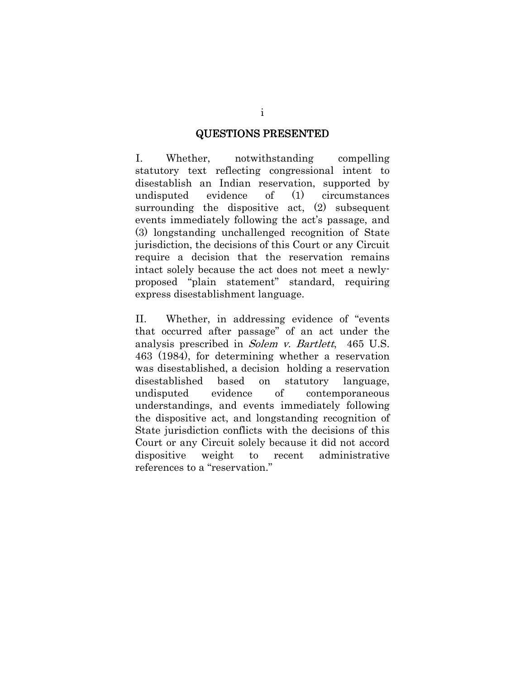#### **QUESTIONS PRESENTED**

I. Whether, notwithstanding compelling statutory text reflecting congressional intent to disestablish an Indian reservation, supported by undisputed evidence of (1) circumstances surrounding the dispositive act, (2) subsequent events immediately following the act's passage, and (3) longstanding unchallenged recognition of State jurisdiction, the decisions of this Court or any Circuit require a decision that the reservation remains intact solely because the act does not meet a newlyproposed "plain statement" standard, requiring express disestablishment language.

II. Whether, in addressing evidence of "events that occurred after passage" of an act under the analysis prescribed in Solem v. Bartlett, 465 U.S. 463 (1984), for determining whether a reservation was disestablished, a decision holding a reservation disestablished based on statutory language, undisputed evidence of contemporaneous understandings, and events immediately following the dispositive act, and longstanding recognition of State jurisdiction conflicts with the decisions of this Court or any Circuit solely because it did not accord dispositive weight to recent administrative references to a "reservation."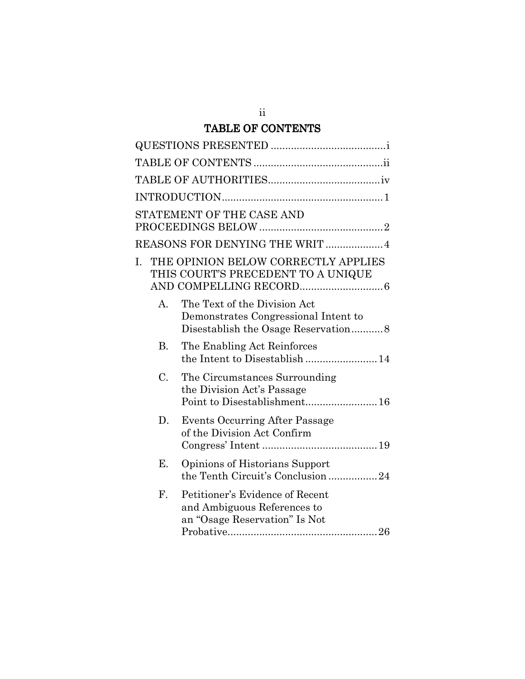# TABLE OF CONTENTS

|           | STATEMENT OF THE CASE AND                                                                       |
|-----------|-------------------------------------------------------------------------------------------------|
|           | REASONS FOR DENYING THE WRIT  4                                                                 |
| L.        | THE OPINION BELOW CORRECTLY APPLIES<br>THIS COURT'S PRECEDENT TO A UNIQUE                       |
| A.        | The Text of the Division Act<br>Demonstrates Congressional Intent to                            |
| <b>B.</b> | The Enabling Act Reinforces<br>the Intent to Disestablish  14                                   |
| C.        | The Circumstances Surrounding<br>the Division Act's Passage                                     |
| D.        | <b>Events Occurring After Passage</b><br>of the Division Act Confirm                            |
| Е.        | Opinions of Historians Support<br>the Tenth Circuit's Conclusion 24                             |
| F.        | Petitioner's Evidence of Recent<br>and Ambiguous References to<br>an "Osage Reservation" Is Not |

ii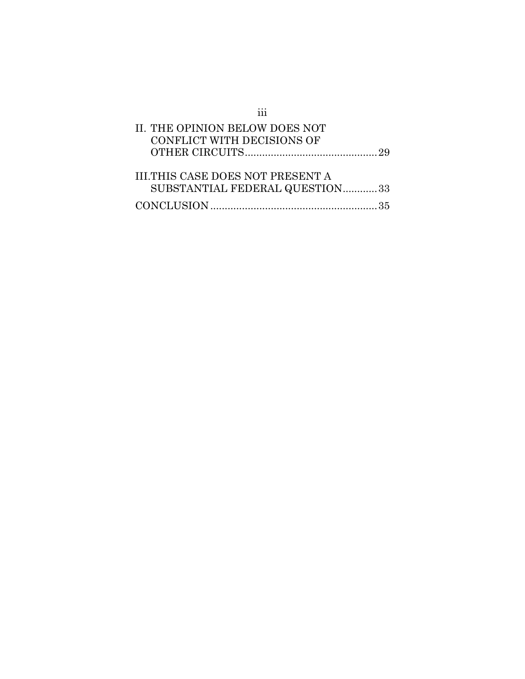| II. THE OPINION BELOW DOES NOT                                            |  |
|---------------------------------------------------------------------------|--|
| CONFLICT WITH DECISIONS OF                                                |  |
|                                                                           |  |
| <b>III.THIS CASE DOES NOT PRESENT A</b><br>SUBSTANTIAL FEDERAL QUESTION33 |  |
|                                                                           |  |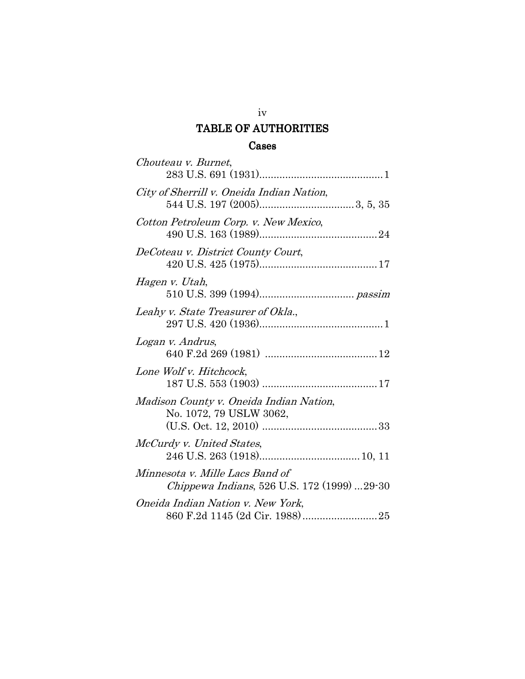# TABLE OF AUTHORITIES

## Cases

| Chouteau v. Burnet,                                                            |
|--------------------------------------------------------------------------------|
| City of Sherrill v. Oneida Indian Nation,                                      |
| Cotton Petroleum Corp. v. New Mexico,                                          |
| DeCoteau v. District County Court,                                             |
| Hagen v. Utah,                                                                 |
| Leahy v. State Treasurer of Okla.,                                             |
| Logan v. Andrus,                                                               |
| Lone Wolf v. Hitchcock,                                                        |
| Madison County v. Oneida Indian Nation,<br>No. 1072, 79 USLW 3062,             |
| McCurdy v. United States,                                                      |
| Minnesota v. Mille Lacs Band of<br>Chippewa Indians, 526 U.S. 172 (1999) 29-30 |
| Oneida Indian Nation v. New York,                                              |

## iv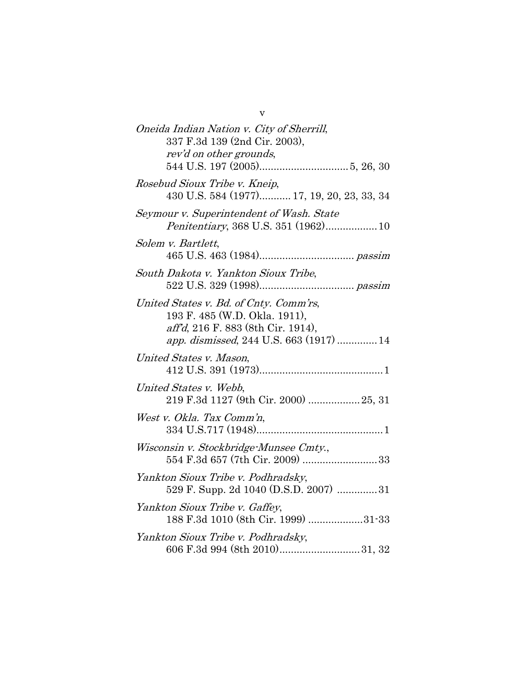| Oneida Indian Nation v. City of Sherrill,<br>337 F.3d 139 (2nd Cir. 2003),<br>rev'd on other grounds,                                                    |
|----------------------------------------------------------------------------------------------------------------------------------------------------------|
| Rosebud Sioux Tribe v. Kneip,<br>430 U.S. 584 (1977) 17, 19, 20, 23, 33, 34                                                                              |
| Seymour v. Superintendent of Wash. State<br>Penitentiary, 368 U.S. 351 (1962) 10                                                                         |
| Solem v. Bartlett,                                                                                                                                       |
| South Dakota v. Yankton Sioux Tribe,                                                                                                                     |
| United States v. Bd. of Cnty. Comm'rs,<br>193 F. 485 (W.D. Okla. 1911),<br>aff'd, 216 F. 883 (8th Cir. 1914),<br>app. dismissed, 244 U.S. 663 (1917)  14 |
| United States v. Mason,                                                                                                                                  |
| United States v. Webb,<br>219 F.3d 1127 (9th Cir. 2000) 25, 31                                                                                           |
| West v. Okla. Tax Comm'n,                                                                                                                                |
| Wisconsin v. Stockbridge-Munsee Cmty.,<br>554 F.3d 657 (7th Cir. 2009) 33                                                                                |
| Yankton Sioux Tribe v. Podhradsky,<br>529 F. Supp. 2d 1040 (D.S.D. 2007) 31                                                                              |
| Yankton Sioux Tribe v. Gaffey,<br>188 F.3d 1010 (8th Cir. 1999) 31-33                                                                                    |
| Yankton Sioux Tribe v. Podhradsky,                                                                                                                       |

v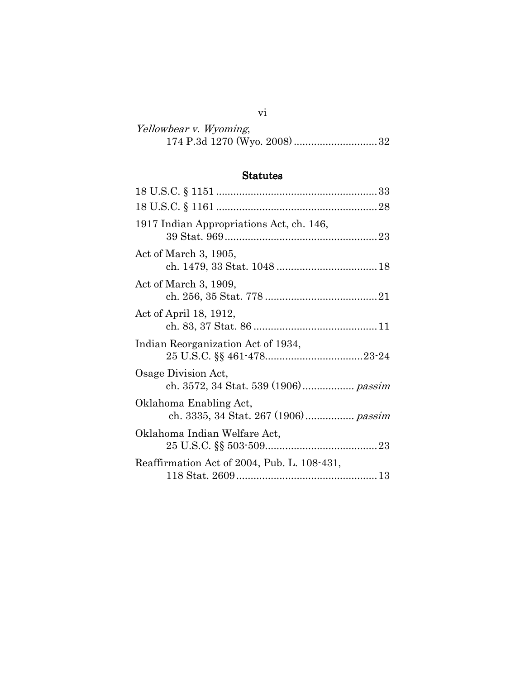| Yellowbear v. Wyoming, |  |
|------------------------|--|
|                        |  |

# Statutes

vi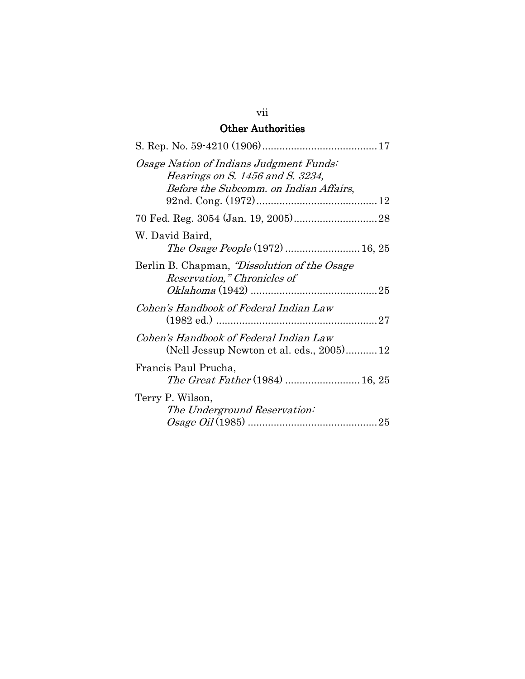# **Other Authorities**

| Osage Nation of Indians Judgment Funds:<br>Hearings on S. 1456 and S. 3234,<br>Before the Subcomm. on Indian Affairs, |
|-----------------------------------------------------------------------------------------------------------------------|
|                                                                                                                       |
| W. David Baird,                                                                                                       |
| Berlin B. Chapman, "Dissolution of the Osage<br>Reservation," Chronicles of                                           |
| Cohen's Handbook of Federal Indian Law                                                                                |
| Cohen's Handbook of Federal Indian Law<br>(Nell Jessup Newton et al. eds., 2005)12                                    |
| Francis Paul Prucha,<br>The Great Father (1984)  16, 25                                                               |
| Terry P. Wilson,<br>The Underground Reservation:                                                                      |

## vii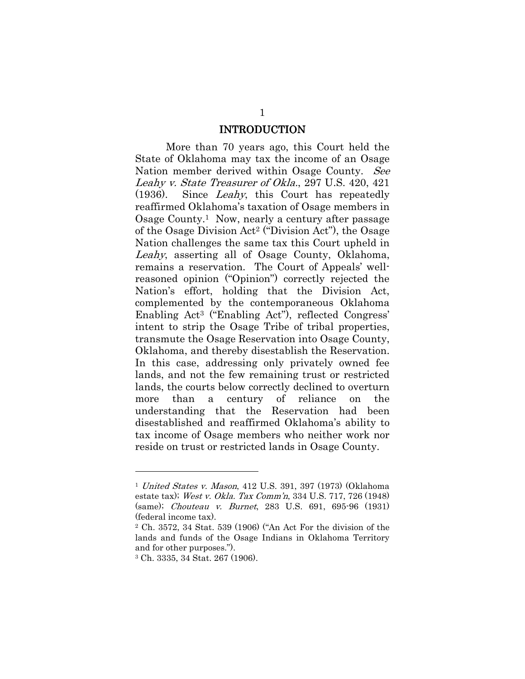#### INTRODUCTION

More than 70 years ago, this Court held the State of Oklahoma may tax the income of an Osage Nation member derived within Osage County. See Leahy v. State Treasurer of Okla., 297 U.S. 420, 421 (1936). Since Leahy, this Court has repeatedly reaffirmed Oklahoma's taxation of Osage members in Osage County.1 Now, nearly a century after passage of the Osage Division Act2 ("Division Act"), the Osage Nation challenges the same tax this Court upheld in Leahy, asserting all of Osage County, Oklahoma, remains a reservation. The Court of Appeals' wellreasoned opinion ("Opinion") correctly rejected the Nation's effort, holding that the Division Act, complemented by the contemporaneous Oklahoma Enabling Act3 ("Enabling Act"), reflected Congress' intent to strip the Osage Tribe of tribal properties, transmute the Osage Reservation into Osage County, Oklahoma, and thereby disestablish the Reservation. In this case, addressing only privately owned fee lands, and not the few remaining trust or restricted lands, the courts below correctly declined to overturn more than a century of reliance on the understanding that the Reservation had been disestablished and reaffirmed Oklahoma's ability to tax income of Osage members who neither work nor reside on trust or restricted lands in Osage County.

<sup>1</sup> United States v. Mason, 412 U.S. 391, 397 (1973) (Oklahoma estate tax); West v. Okla. Tax Comm'n, 334 U.S. 717, 726 (1948) (same); Chouteau v. Burnet, 283 U.S. 691, 695-96 (1931) (federal income tax).

<sup>2</sup> Ch. 3572, 34 Stat. 539 (1906) ("An Act For the division of the lands and funds of the Osage Indians in Oklahoma Territory and for other purposes.").

<sup>3</sup> Ch. 3335, 34 Stat. 267 (1906).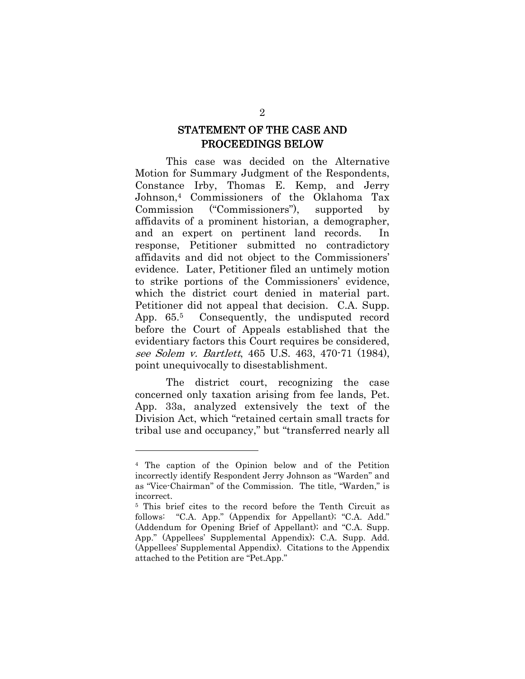# STATEMENT OF THE CASE AND PROCEEDINGS BELOW

This case was decided on the Alternative Motion for Summary Judgment of the Respondents, Constance Irby, Thomas E. Kemp, and Jerry Johnson,4 Commissioners of the Oklahoma Tax Commission ("Commissioners"), supported by affidavits of a prominent historian, a demographer, and an expert on pertinent land records. In response, Petitioner submitted no contradictory affidavits and did not object to the Commissioners' evidence. Later, Petitioner filed an untimely motion to strike portions of the Commissioners' evidence, which the district court denied in material part. Petitioner did not appeal that decision. C.A. Supp. App. 65.5 Consequently, the undisputed record before the Court of Appeals established that the evidentiary factors this Court requires be considered, see Solem v. Bartlett, 465 U.S. 463, 470-71 (1984), point unequivocally to disestablishment.

The district court, recognizing the case concerned only taxation arising from fee lands, Pet. App. 33a, analyzed extensively the text of the Division Act, which "retained certain small tracts for tribal use and occupancy," but "transferred nearly all

<sup>4</sup> The caption of the Opinion below and of the Petition incorrectly identify Respondent Jerry Johnson as "Warden" and as "Vice-Chairman" of the Commission. The title, "Warden," is incorrect.

<sup>5</sup> This brief cites to the record before the Tenth Circuit as follows: "C.A. App." (Appendix for Appellant); "C.A. Add." (Addendum for Opening Brief of Appellant); and "C.A. Supp. App." (Appellees' Supplemental Appendix); C.A. Supp. Add. (Appellees' Supplemental Appendix). Citations to the Appendix attached to the Petition are "Pet.App."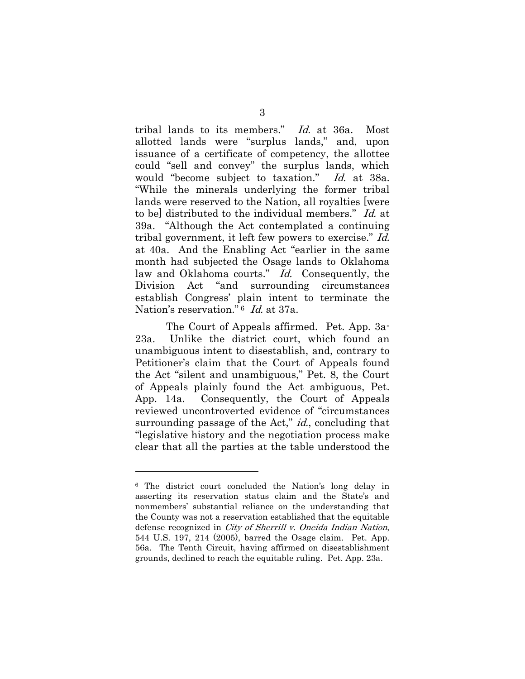tribal lands to its members." Id. at 36a. Most allotted lands were "surplus lands," and, upon issuance of a certificate of competency, the allottee could "sell and convey" the surplus lands, which would "become subject to taxation." Id. at 38a. "While the minerals underlying the former tribal lands were reserved to the Nation, all royalties [were to be] distributed to the individual members." Id. at 39a. "Although the Act contemplated a continuing tribal government, it left few powers to exercise." Id. at 40a. And the Enabling Act "earlier in the same month had subjected the Osage lands to Oklahoma law and Oklahoma courts." Id. Consequently, the Division Act "and surrounding circumstances establish Congress' plain intent to terminate the Nation's reservation."<sup>6</sup> Id. at 37a.

The Court of Appeals affirmed. Pet. App. 3a-23a. Unlike the district court, which found an unambiguous intent to disestablish, and, contrary to Petitioner's claim that the Court of Appeals found the Act "silent and unambiguous," Pet. 8, the Court of Appeals plainly found the Act ambiguous, Pet. App. 14a. Consequently, the Court of Appeals reviewed uncontroverted evidence of "circumstances surrounding passage of the Act," *id.*, concluding that "legislative history and the negotiation process make clear that all the parties at the table understood the

<sup>6</sup> The district court concluded the Nation's long delay in asserting its reservation status claim and the State's and nonmembers' substantial reliance on the understanding that the County was not a reservation established that the equitable defense recognized in City of Sherrill v. Oneida Indian Nation, 544 U.S. 197, 214 (2005), barred the Osage claim. Pet. App. 56a. The Tenth Circuit, having affirmed on disestablishment grounds, declined to reach the equitable ruling. Pet. App. 23a.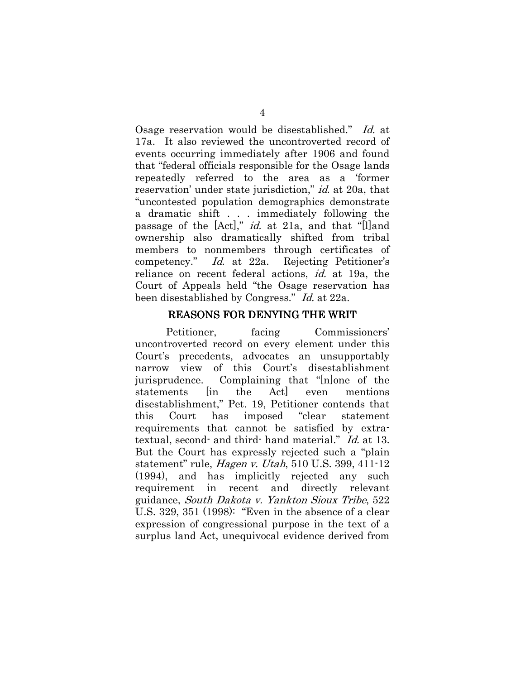Osage reservation would be disestablished." Id. at 17a. It also reviewed the uncontroverted record of events occurring immediately after 1906 and found that "federal officials responsible for the Osage lands repeatedly referred to the area as a 'former reservation' under state jurisdiction," *id.* at 20a, that "uncontested population demographics demonstrate a dramatic shift . . . immediately following the passage of the [Act]," id. at 21a, and that "[I]and ownership also dramatically shifted from tribal members to nonmembers through certificates of competency." Id. at 22a. Rejecting Petitioner's reliance on recent federal actions, id. at 19a, the Court of Appeals held "the Osage reservation has been disestablished by Congress." Id. at 22a.

#### REASONS FOR DENYING THE WRIT

Petitioner, facing Commissioners' uncontroverted record on every element under this Court's precedents, advocates an unsupportably narrow view of this Court's disestablishment jurisprudence. Complaining that "[n]one of the statements  $\text{lin}$  the Act even mentions disestablishment," Pet. 19, Petitioner contends that this Court has imposed "clear statement requirements that cannot be satisfied by extratextual, second- and third- hand material." Id. at 13. But the Court has expressly rejected such a "plain statement" rule, Hagen v. Utah, 510 U.S. 399, 411-12 (1994), and has implicitly rejected any such requirement in recent and directly relevant guidance, South Dakota v. Yankton Sioux Tribe, 522 U.S. 329, 351 (1998): "Even in the absence of a clear expression of congressional purpose in the text of a surplus land Act, unequivocal evidence derived from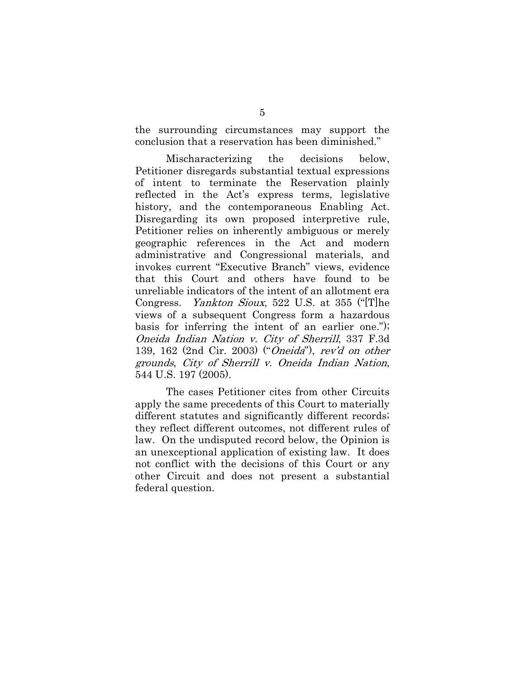the surrounding circumstances may support the conclusion that a reservation has been diminished."

Mischaracterizing the decisions below, Petitioner disregards substantial textual expressions of intent to terminate the Reservation plainly reflected in the Act's express terms, legislative history, and the contemporaneous Enabling Act. Disregarding its own proposed interpretive rule, Petitioner relies on inherently ambiguous or merely geographic references in the Act and modern administrative and Congressional materials, and invokes current "Executive Branch" views, evidence that this Court and others have found to be unreliable indicators of the intent of an allotment era Congress. Yankton Sioux, 522 U.S. at 355 ("[T]he views of a subsequent Congress form a hazardous basis for inferring the intent of an earlier one."); Oneida Indian Nation v. City of Sherrill, 337 F.3d 139, 162 (2nd Cir. 2003) ("Oneida"), rev'd on other grounds, City of Sherrill v. Oneida Indian Nation, 544 U.S. 197 (2005).

The cases Petitioner cites from other Circuits apply the same precedents of this Court to materially different statutes and significantly different records; they reflect different outcomes, not different rules of law. On the undisputed record below, the Opinion is an unexceptional application of existing law. It does not conflict with the decisions of this Court or any other Circuit and does not present a substantial federal question.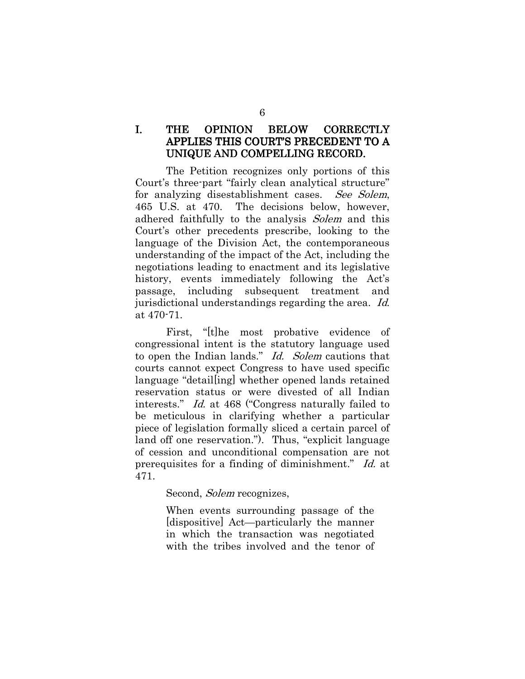## I. THE OPINION BELOW CORRECTLY APPLIES THIS COURT'S PRECEDENT TO A UNIQUE AND COMPELLING RECORD.

 The Petition recognizes only portions of this Court's three-part "fairly clean analytical structure" for analyzing disestablishment cases. See Solem, 465 U.S. at 470. The decisions below, however, adhered faithfully to the analysis Solem and this Court's other precedents prescribe, looking to the language of the Division Act, the contemporaneous understanding of the impact of the Act, including the negotiations leading to enactment and its legislative history, events immediately following the Act's passage, including subsequent treatment and jurisdictional understandings regarding the area. Id. at 470-71.

First, "[t]he most probative evidence of congressional intent is the statutory language used to open the Indian lands." Id. Solem cautions that courts cannot expect Congress to have used specific language "detail[ing] whether opened lands retained reservation status or were divested of all Indian interests." Id. at 468 ("Congress naturally failed to be meticulous in clarifying whether a particular piece of legislation formally sliced a certain parcel of land off one reservation."). Thus, "explicit language of cession and unconditional compensation are not prerequisites for a finding of diminishment." Id. at 471.

Second, *Solem* recognizes,

When events surrounding passage of the [dispositive] Act—particularly the manner in which the transaction was negotiated with the tribes involved and the tenor of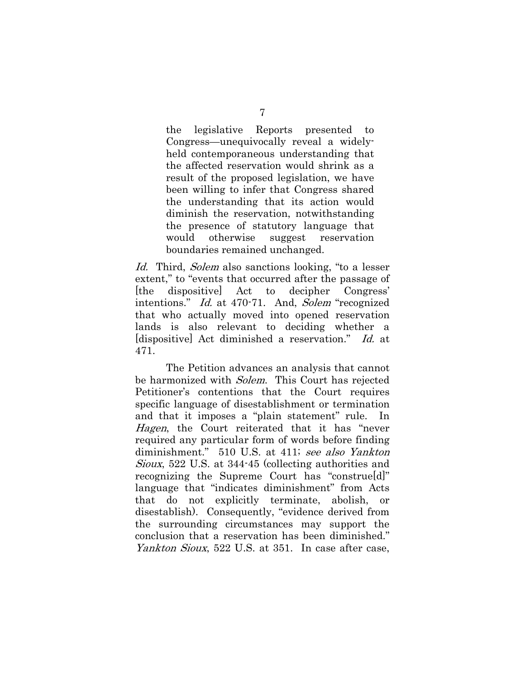the legislative Reports presented to Congress—unequivocally reveal a widelyheld contemporaneous understanding that the affected reservation would shrink as a result of the proposed legislation, we have been willing to infer that Congress shared the understanding that its action would diminish the reservation, notwithstanding the presence of statutory language that would otherwise suggest reservation boundaries remained unchanged.

Id. Third, Solem also sanctions looking, "to a lesser extent," to "events that occurred after the passage of [the dispositive] Act to decipher Congress' intentions." Id. at 470-71. And, Solem "recognized that who actually moved into opened reservation lands is also relevant to deciding whether a [dispositive] Act diminished a reservation." Id. at 471.

The Petition advances an analysis that cannot be harmonized with Solem. This Court has rejected Petitioner's contentions that the Court requires specific language of disestablishment or termination and that it imposes a "plain statement" rule. In Hagen, the Court reiterated that it has "never required any particular form of words before finding diminishment." 510 U.S. at 411; see also Yankton Sioux, 522 U.S. at 344-45 (collecting authorities and recognizing the Supreme Court has "construe[d]" language that "indicates diminishment" from Acts that do not explicitly terminate, abolish, disestablish). Consequently, "evidence derived from the surrounding circumstances may support the conclusion that a reservation has been diminished." Yankton Sioux, 522 U.S. at 351. In case after case,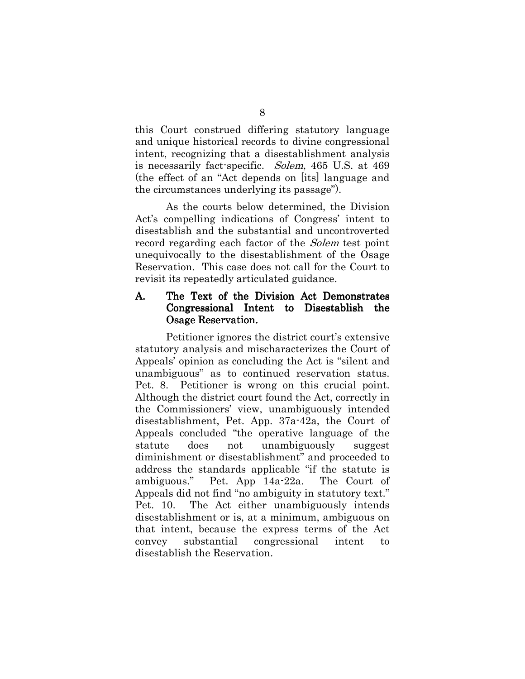this Court construed differing statutory language and unique historical records to divine congressional intent, recognizing that a disestablishment analysis is necessarily fact-specific. Solem, 465 U.S. at 469 (the effect of an "Act depends on [its] language and the circumstances underlying its passage").

As the courts below determined, the Division Act's compelling indications of Congress' intent to disestablish and the substantial and uncontroverted record regarding each factor of the *Solem* test point unequivocally to the disestablishment of the Osage Reservation. This case does not call for the Court to revisit its repeatedly articulated guidance.

## A. The Text of the Division Act Demonstrates Congressional Intent to Disestablish the **Osage Reservation.**

Petitioner ignores the district court's extensive statutory analysis and mischaracterizes the Court of Appeals' opinion as concluding the Act is "silent and unambiguous" as to continued reservation status. Pet. 8. Petitioner is wrong on this crucial point. Although the district court found the Act, correctly in the Commissioners' view, unambiguously intended disestablishment, Pet. App. 37a-42a, the Court of Appeals concluded "the operative language of the statute does not unambiguously suggest diminishment or disestablishment" and proceeded to address the standards applicable "if the statute is ambiguous." Pet. App 14a-22a. The Court of Appeals did not find "no ambiguity in statutory text." Pet. 10. The Act either unambiguously intends disestablishment or is, at a minimum, ambiguous on that intent, because the express terms of the Act convey substantial congressional intent to disestablish the Reservation.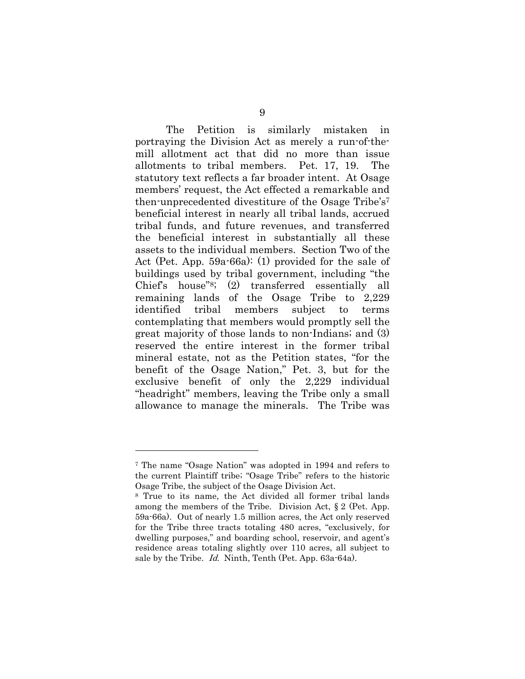The Petition is similarly mistaken in portraying the Division Act as merely a run-of-themill allotment act that did no more than issue allotments to tribal members. Pet. 17, 19. The statutory text reflects a far broader intent. At Osage members' request, the Act effected a remarkable and then-unprecedented divestiture of the Osage Tribe's<sup>7</sup> beneficial interest in nearly all tribal lands, accrued tribal funds, and future revenues, and transferred the beneficial interest in substantially all these assets to the individual members. Section Two of the Act (Pet. App. 59a-66a): (1) provided for the sale of buildings used by tribal government, including "the Chief's house"8; (2) transferred essentially all remaining lands of the Osage Tribe to 2,229 identified tribal members subject to terms contemplating that members would promptly sell the great majority of those lands to non-Indians; and (3) reserved the entire interest in the former tribal mineral estate, not as the Petition states, "for the benefit of the Osage Nation," Pet. 3, but for the exclusive benefit of only the 2,229 individual "headright" members, leaving the Tribe only a small allowance to manage the minerals. The Tribe was

<sup>7</sup> The name "Osage Nation" was adopted in 1994 and refers to the current Plaintiff tribe; "Osage Tribe" refers to the historic Osage Tribe, the subject of the Osage Division Act.

<sup>8</sup> True to its name, the Act divided all former tribal lands among the members of the Tribe. Division Act, § 2 (Pet. App. 59a-66a). Out of nearly 1.5 million acres, the Act only reserved for the Tribe three tracts totaling 480 acres, "exclusively, for dwelling purposes," and boarding school, reservoir, and agent's residence areas totaling slightly over 110 acres, all subject to sale by the Tribe. Id. Ninth, Tenth (Pet. App. 63a-64a).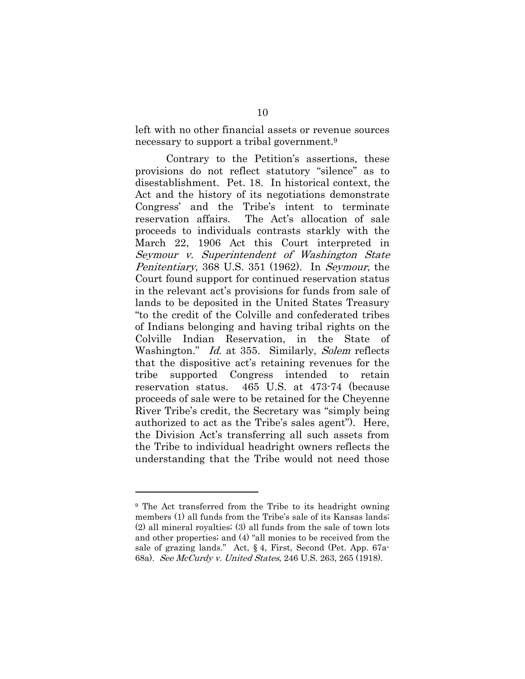left with no other financial assets or revenue sources necessary to support a tribal government.<sup>9</sup>

Contrary to the Petition's assertions, these provisions do not reflect statutory "silence" as to disestablishment. Pet. 18. In historical context, the Act and the history of its negotiations demonstrate Congress' and the Tribe's intent to terminate reservation affairs. The Act's allocation of sale proceeds to individuals contrasts starkly with the March 22, 1906 Act this Court interpreted in Seymour v. Superintendent of Washington State Penitentiary, 368 U.S. 351 (1962). In Seymour, the Court found support for continued reservation status in the relevant act's provisions for funds from sale of lands to be deposited in the United States Treasury "to the credit of the Colville and confederated tribes of Indians belonging and having tribal rights on the Colville Indian Reservation, in the State of Washington." *Id.* at 355. Similarly, *Solem* reflects that the dispositive act's retaining revenues for the tribe supported Congress intended to retain reservation status. 465 U.S. at 473-74 (because proceeds of sale were to be retained for the Cheyenne River Tribe's credit, the Secretary was "simply being authorized to act as the Tribe's sales agent"). Here, the Division Act's transferring all such assets from the Tribe to individual headright owners reflects the understanding that the Tribe would not need those

<sup>9</sup> The Act transferred from the Tribe to its headright owning members (1) all funds from the Tribe's sale of its Kansas lands; (2) all mineral royalties; (3) all funds from the sale of town lots and other properties; and (4) "all monies to be received from the sale of grazing lands." Act, § 4, First, Second (Pet. App. 67a-68a). See McCurdy v. United States, 246 U.S. 263, 265 (1918).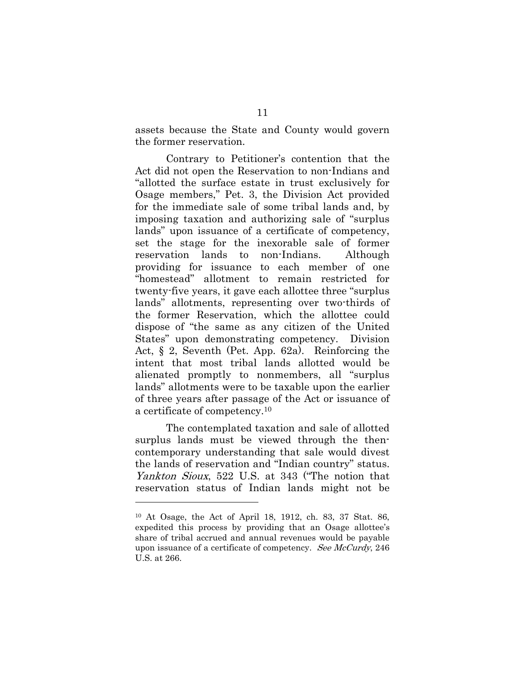assets because the State and County would govern the former reservation.

Contrary to Petitioner's contention that the Act did not open the Reservation to non-Indians and "allotted the surface estate in trust exclusively for Osage members," Pet. 3, the Division Act provided for the immediate sale of some tribal lands and, by imposing taxation and authorizing sale of "surplus lands" upon issuance of a certificate of competency, set the stage for the inexorable sale of former reservation lands to non-Indians. Although providing for issuance to each member of one "homestead" allotment to remain restricted for twenty-five years, it gave each allottee three "surplus lands" allotments, representing over two-thirds of the former Reservation, which the allottee could dispose of "the same as any citizen of the United States" upon demonstrating competency. Division Act, § 2, Seventh (Pet. App. 62a). Reinforcing the intent that most tribal lands allotted would be alienated promptly to nonmembers, all "surplus lands" allotments were to be taxable upon the earlier of three years after passage of the Act or issuance of a certificate of competency.<sup>10</sup>

The contemplated taxation and sale of allotted surplus lands must be viewed through the thencontemporary understanding that sale would divest the lands of reservation and "Indian country" status. Yankton Sioux, 522 U.S. at 343 ("The notion that reservation status of Indian lands might not be

<sup>10</sup> At Osage, the Act of April 18, 1912, ch. 83, 37 Stat. 86, expedited this process by providing that an Osage allottee's share of tribal accrued and annual revenues would be payable upon issuance of a certificate of competency. See McCurdy, 246 U.S. at 266.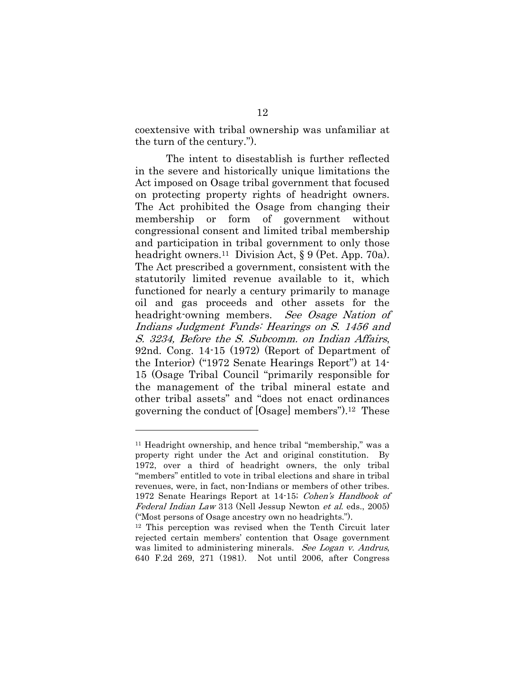coextensive with tribal ownership was unfamiliar at the turn of the century.").

The intent to disestablish is further reflected in the severe and historically unique limitations the Act imposed on Osage tribal government that focused on protecting property rights of headright owners. The Act prohibited the Osage from changing their membership or form of government without congressional consent and limited tribal membership and participation in tribal government to only those headright owners.<sup>11</sup> Division Act, § 9 (Pet. App. 70a). The Act prescribed a government, consistent with the statutorily limited revenue available to it, which functioned for nearly a century primarily to manage oil and gas proceeds and other assets for the headright-owning members. See Osage Nation of Indians Judgment Funds: Hearings on S. 1456 and S. 3234, Before the S. Subcomm. on Indian Affairs, 92nd. Cong. 14-15 (1972) (Report of Department of the Interior) ("1972 Senate Hearings Report") at 14- 15 (Osage Tribal Council "primarily responsible for the management of the tribal mineral estate and other tribal assets" and "does not enact ordinances governing the conduct of [Osage] members").12 These

<sup>11</sup> Headright ownership, and hence tribal "membership," was a property right under the Act and original constitution. By 1972, over a third of headright owners, the only tribal "members" entitled to vote in tribal elections and share in tribal revenues, were, in fact, non-Indians or members of other tribes. 1972 Senate Hearings Report at 14-15; Cohen's Handbook of Federal Indian Law 313 (Nell Jessup Newton et al. eds., 2005) ("Most persons of Osage ancestry own no headrights.").

<sup>12</sup> This perception was revised when the Tenth Circuit later rejected certain members' contention that Osage government was limited to administering minerals. See Logan v. Andrus, 640 F.2d 269, 271 (1981). Not until 2006, after Congress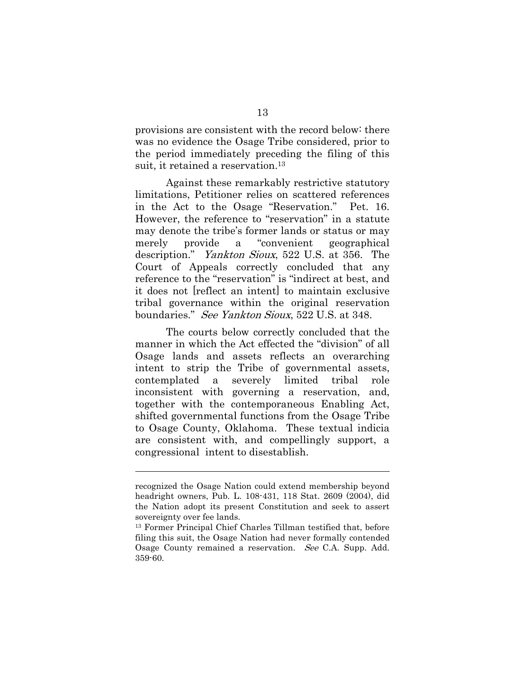provisions are consistent with the record below: there was no evidence the Osage Tribe considered, prior to the period immediately preceding the filing of this suit, it retained a reservation.<sup>13</sup>

Against these remarkably restrictive statutory limitations, Petitioner relies on scattered references in the Act to the Osage "Reservation." Pet. 16. However, the reference to "reservation" in a statute may denote the tribe's former lands or status or may merely provide a "convenient geographical description." Yankton Sioux, 522 U.S. at 356. The Court of Appeals correctly concluded that any reference to the "reservation" is "indirect at best, and it does not [reflect an intent] to maintain exclusive tribal governance within the original reservation boundaries." See Yankton Sioux, 522 U.S. at 348.

The courts below correctly concluded that the manner in which the Act effected the "division" of all Osage lands and assets reflects an overarching intent to strip the Tribe of governmental assets, contemplated a severely limited tribal role inconsistent with governing a reservation, and, together with the contemporaneous Enabling Act, shifted governmental functions from the Osage Tribe to Osage County, Oklahoma. These textual indicia are consistent with, and compellingly support, a congressional intent to disestablish.

recognized the Osage Nation could extend membership beyond headright owners, Pub. L. 108-431, 118 Stat. 2609 (2004), did the Nation adopt its present Constitution and seek to assert sovereignty over fee lands.

<sup>13</sup> Former Principal Chief Charles Tillman testified that, before filing this suit, the Osage Nation had never formally contended Osage County remained a reservation. See C.A. Supp. Add. 359-60.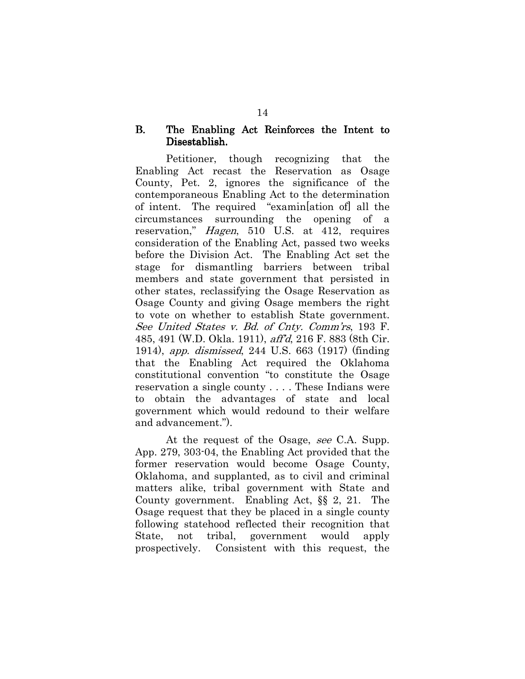#### B. The Enabling Act Reinforces the Intent to Disestablish.

Petitioner, though recognizing that the Enabling Act recast the Reservation as Osage County, Pet. 2, ignores the significance of the contemporaneous Enabling Act to the determination of intent. The required "examin[ation of] all the circumstances surrounding the opening of a reservation," Hagen, 510 U.S. at 412, requires consideration of the Enabling Act, passed two weeks before the Division Act. The Enabling Act set the stage for dismantling barriers between tribal members and state government that persisted in other states, reclassifying the Osage Reservation as Osage County and giving Osage members the right to vote on whether to establish State government. See United States v. Bd. of Cnty. Comm'rs, 193 F. 485, 491 (W.D. Okla. 1911), aff'd, 216 F. 883 (8th Cir. 1914), app. dismissed, 244 U.S. 663 (1917) (finding that the Enabling Act required the Oklahoma constitutional convention "to constitute the Osage reservation a single county . . . . These Indians were to obtain the advantages of state and local government which would redound to their welfare and advancement.").

At the request of the Osage, see C.A. Supp. App. 279, 303-04, the Enabling Act provided that the former reservation would become Osage County, Oklahoma, and supplanted, as to civil and criminal matters alike, tribal government with State and County government. Enabling Act, §§ 2, 21. The Osage request that they be placed in a single county following statehood reflected their recognition that State, not tribal, government would apply prospectively. Consistent with this request, the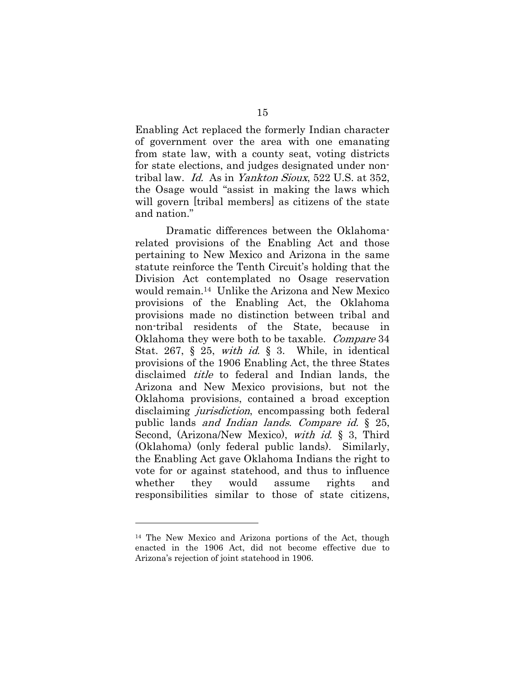Enabling Act replaced the formerly Indian character of government over the area with one emanating from state law, with a county seat, voting districts for state elections, and judges designated under nontribal law. Id. As in Yankton Sioux, 522 U.S. at 352, the Osage would "assist in making the laws which will govern [tribal members] as citizens of the state and nation."

Dramatic differences between the Oklahomarelated provisions of the Enabling Act and those pertaining to New Mexico and Arizona in the same statute reinforce the Tenth Circuit's holding that the Division Act contemplated no Osage reservation would remain.14 Unlike the Arizona and New Mexico provisions of the Enabling Act, the Oklahoma provisions made no distinction between tribal and non-tribal residents of the State, because in Oklahoma they were both to be taxable. Compare 34 Stat. 267,  $\S$  25, with id.  $\S$  3. While, in identical provisions of the 1906 Enabling Act, the three States disclaimed title to federal and Indian lands, the Arizona and New Mexico provisions, but not the Oklahoma provisions, contained a broad exception disclaiming *jurisdiction*, encompassing both federal public lands and Indian lands. Compare id. § 25, Second, (Arizona/New Mexico), *with id.* § 3, Third (Oklahoma) (only federal public lands). Similarly, the Enabling Act gave Oklahoma Indians the right to vote for or against statehood, and thus to influence whether they would assume rights and responsibilities similar to those of state citizens,

<sup>14</sup> The New Mexico and Arizona portions of the Act, though enacted in the 1906 Act, did not become effective due to Arizona's rejection of joint statehood in 1906.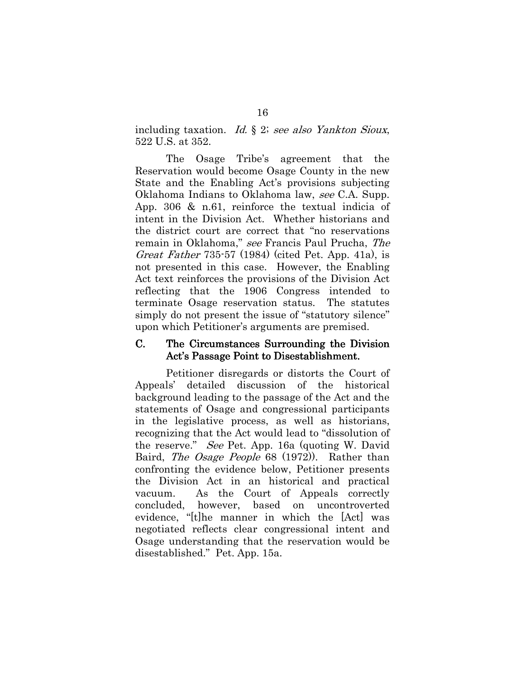including taxation. Id. § 2; see also Yankton Sioux, 522 U.S. at 352.

The Osage Tribe's agreement that the Reservation would become Osage County in the new State and the Enabling Act's provisions subjecting Oklahoma Indians to Oklahoma law, see C.A. Supp. App. 306 & n.61, reinforce the textual indicia of intent in the Division Act. Whether historians and the district court are correct that "no reservations remain in Oklahoma," see Francis Paul Prucha, The Great Father 735-57 (1984) (cited Pet. App. 41a), is not presented in this case. However, the Enabling Act text reinforces the provisions of the Division Act reflecting that the 1906 Congress intended to terminate Osage reservation status. The statutes simply do not present the issue of "statutory silence" upon which Petitioner's arguments are premised.

#### C. The Circumstances Surrounding the Division Act's Passage Point to Disestablishment.

Petitioner disregards or distorts the Court of Appeals' detailed discussion of the historical background leading to the passage of the Act and the statements of Osage and congressional participants in the legislative process, as well as historians, recognizing that the Act would lead to "dissolution of the reserve." See Pet. App. 16a (quoting W. David Baird, *The Osage People* 68 (1972). Rather than confronting the evidence below, Petitioner presents the Division Act in an historical and practical vacuum. As the Court of Appeals correctly concluded, however, based on uncontroverted evidence, "[t]he manner in which the [Act] was negotiated reflects clear congressional intent and Osage understanding that the reservation would be disestablished." Pet. App. 15a.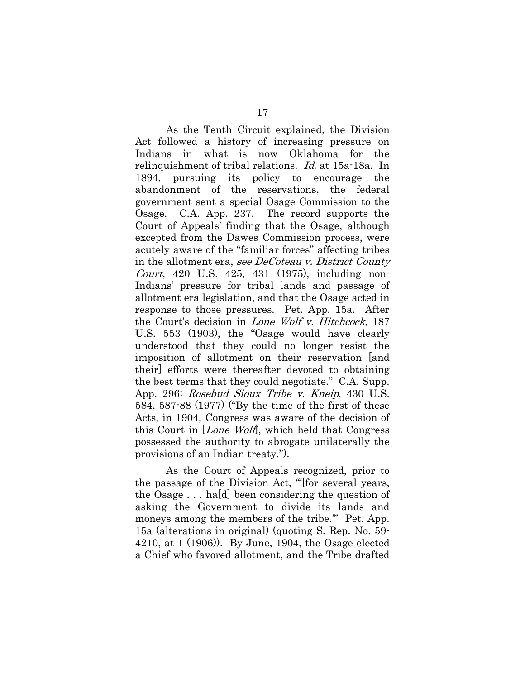As the Tenth Circuit explained, the Division Act followed a history of increasing pressure on Indians in what is now Oklahoma for the relinquishment of tribal relations. Id. at 15a-18a. In 1894, pursuing its policy to encourage the abandonment of the reservations, the federal government sent a special Osage Commission to the Osage. C.A. App. 237. The record supports the Court of Appeals' finding that the Osage, although excepted from the Dawes Commission process, were acutely aware of the "familiar forces" affecting tribes in the allotment era, see DeCoteau v. District County Court, 420 U.S. 425, 431 (1975), including non-Indians' pressure for tribal lands and passage of allotment era legislation, and that the Osage acted in response to those pressures. Pet. App. 15a. After the Court's decision in *Lone Wolf v. Hitchcock*, 187 U.S. 553 (1903), the "Osage would have clearly understood that they could no longer resist the imposition of allotment on their reservation [and their] efforts were thereafter devoted to obtaining the best terms that they could negotiate." C.A. Supp. App. 296; Rosebud Sioux Tribe v. Kneip, 430 U.S. 584, 587-88 (1977) ("By the time of the first of these Acts, in 1904, Congress was aware of the decision of this Court in [Lone Wolf], which held that Congress possessed the authority to abrogate unilaterally the provisions of an Indian treaty.").

As the Court of Appeals recognized, prior to the passage of the Division Act, "'[for several years, the Osage . . . ha[d] been considering the question of asking the Government to divide its lands and moneys among the members of the tribe.'" Pet. App. 15a (alterations in original) (quoting S. Rep. No. 59- 4210, at 1 (1906)). By June, 1904, the Osage elected a Chief who favored allotment, and the Tribe drafted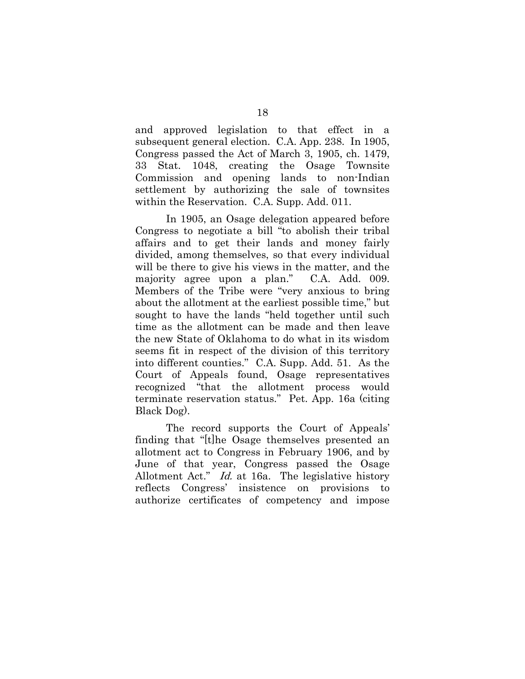and approved legislation to that effect in a subsequent general election. C.A. App. 238. In 1905, Congress passed the Act of March 3, 1905, ch. 1479, 33 Stat. 1048, creating the Osage Townsite Commission and opening lands to non-Indian settlement by authorizing the sale of townsites within the Reservation. C.A. Supp. Add. 011.

In 1905, an Osage delegation appeared before Congress to negotiate a bill "to abolish their tribal affairs and to get their lands and money fairly divided, among themselves, so that every individual will be there to give his views in the matter, and the majority agree upon a plan." C.A. Add. 009. Members of the Tribe were "very anxious to bring about the allotment at the earliest possible time," but sought to have the lands "held together until such time as the allotment can be made and then leave the new State of Oklahoma to do what in its wisdom seems fit in respect of the division of this territory into different counties." C.A. Supp. Add. 51. As the Court of Appeals found, Osage representatives recognized "that the allotment process would terminate reservation status." Pet. App. 16a (citing Black Dog).

The record supports the Court of Appeals' finding that "[t]he Osage themselves presented an allotment act to Congress in February 1906, and by June of that year, Congress passed the Osage Allotment Act." Id. at 16a. The legislative history reflects Congress' insistence on provisions to authorize certificates of competency and impose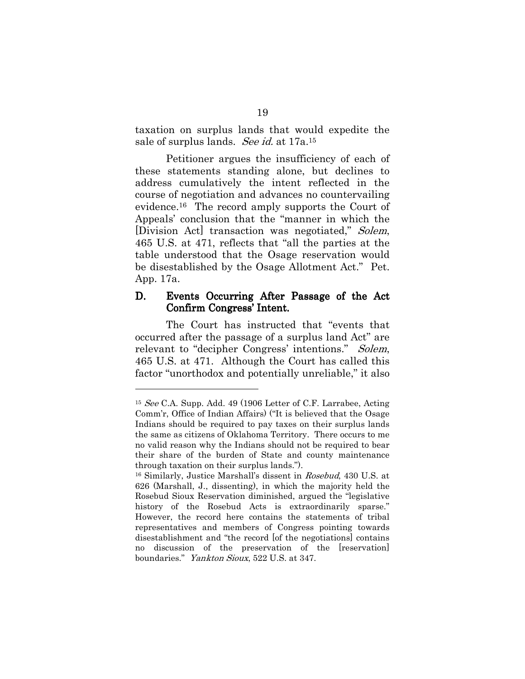taxation on surplus lands that would expedite the sale of surplus lands. See id. at 17a.<sup>15</sup>

Petitioner argues the insufficiency of each of these statements standing alone, but declines to address cumulatively the intent reflected in the course of negotiation and advances no countervailing evidence.16 The record amply supports the Court of Appeals' conclusion that the "manner in which the [Division Act] transaction was negotiated," Solem, 465 U.S. at 471, reflects that "all the parties at the table understood that the Osage reservation would be disestablished by the Osage Allotment Act." Pet. App. 17a.

#### D. Events Occurring After Passage of the Act Confirm Congress' Intent.

The Court has instructed that "events that occurred after the passage of a surplus land Act" are relevant to "decipher Congress' intentions." Solem, 465 U.S. at 471. Although the Court has called this factor "unorthodox and potentially unreliable," it also

<sup>15</sup> See C.A. Supp. Add. 49 (1906 Letter of C.F. Larrabee, Acting Comm'r, Office of Indian Affairs) ("It is believed that the Osage Indians should be required to pay taxes on their surplus lands the same as citizens of Oklahoma Territory. There occurs to me no valid reason why the Indians should not be required to bear their share of the burden of State and county maintenance through taxation on their surplus lands.").

<sup>16</sup> Similarly, Justice Marshall's dissent in Rosebud, 430 U.S. at 626 (Marshall, J., dissenting), in which the majority held the Rosebud Sioux Reservation diminished, argued the "legislative history of the Rosebud Acts is extraordinarily sparse." However, the record here contains the statements of tribal representatives and members of Congress pointing towards disestablishment and "the record [of the negotiations] contains no discussion of the preservation of the [reservation] boundaries." *Yankton Sioux*, 522 U.S. at 347.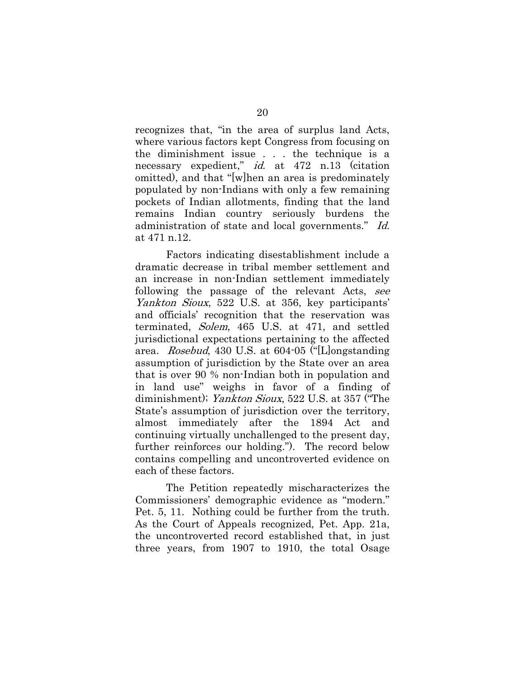recognizes that, "in the area of surplus land Acts, where various factors kept Congress from focusing on the diminishment issue . . . the technique is a necessary expedient," *id.* at 472 n.13 (citation omitted), and that "[w]hen an area is predominately populated by non-Indians with only a few remaining pockets of Indian allotments, finding that the land remains Indian country seriously burdens the administration of state and local governments." Id. at 471 n.12.

Factors indicating disestablishment include a dramatic decrease in tribal member settlement and an increase in non-Indian settlement immediately following the passage of the relevant Acts, see Yankton Sioux, 522 U.S. at 356, key participants' and officials' recognition that the reservation was terminated, Solem, 465 U.S. at 471, and settled jurisdictional expectations pertaining to the affected area. Rosebud, 430 U.S. at 604-05 ("[L]ongstanding assumption of jurisdiction by the State over an area that is over 90 % non-Indian both in population and in land use" weighs in favor of a finding of diminishment); Yankton Sioux, 522 U.S. at 357 ("The State's assumption of jurisdiction over the territory, almost immediately after the 1894 Act and continuing virtually unchallenged to the present day, further reinforces our holding."). The record below contains compelling and uncontroverted evidence on each of these factors.

The Petition repeatedly mischaracterizes the Commissioners' demographic evidence as "modern." Pet. 5, 11. Nothing could be further from the truth. As the Court of Appeals recognized, Pet. App. 21a, the uncontroverted record established that, in just three years, from 1907 to 1910, the total Osage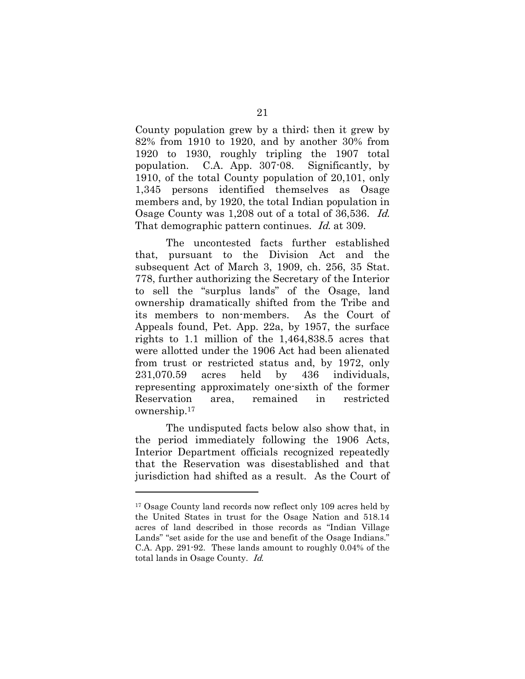County population grew by a third; then it grew by 82% from 1910 to 1920, and by another 30% from 1920 to 1930, roughly tripling the 1907 total population. C.A. App. 307-08. Significantly, by 1910, of the total County population of 20,101, only 1,345 persons identified themselves as Osage members and, by 1920, the total Indian population in Osage County was 1,208 out of a total of 36,536. Id. That demographic pattern continues. *Id.* at 309.

The uncontested facts further established that, pursuant to the Division Act and the subsequent Act of March 3, 1909, ch. 256, 35 Stat. 778, further authorizing the Secretary of the Interior to sell the "surplus lands" of the Osage, land ownership dramatically shifted from the Tribe and its members to non-members. As the Court of Appeals found, Pet. App. 22a, by 1957, the surface rights to 1.1 million of the 1,464,838.5 acres that were allotted under the 1906 Act had been alienated from trust or restricted status and, by 1972, only 231,070.59 acres held by 436 individuals, representing approximately one-sixth of the former Reservation area, remained in restricted ownership.<sup>17</sup>

The undisputed facts below also show that, in the period immediately following the 1906 Acts, Interior Department officials recognized repeatedly that the Reservation was disestablished and that jurisdiction had shifted as a result. As the Court of

<sup>&</sup>lt;sup>17</sup> Osage County land records now reflect only 109 acres held by the United States in trust for the Osage Nation and 518.14 acres of land described in those records as "Indian Village Lands" "set aside for the use and benefit of the Osage Indians." C.A. App. 291-92. These lands amount to roughly 0.04% of the total lands in Osage County. Id.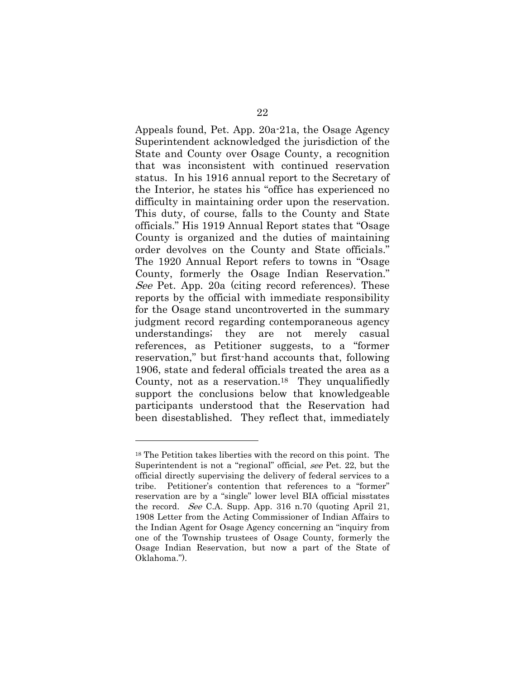Appeals found, Pet. App. 20a-21a, the Osage Agency Superintendent acknowledged the jurisdiction of the State and County over Osage County, a recognition that was inconsistent with continued reservation status. In his 1916 annual report to the Secretary of the Interior, he states his "office has experienced no difficulty in maintaining order upon the reservation. This duty, of course, falls to the County and State officials." His 1919 Annual Report states that "Osage County is organized and the duties of maintaining order devolves on the County and State officials." The 1920 Annual Report refers to towns in "Osage County, formerly the Osage Indian Reservation." See Pet. App. 20a (citing record references). These reports by the official with immediate responsibility for the Osage stand uncontroverted in the summary judgment record regarding contemporaneous agency understandings; they are not merely casual references, as Petitioner suggests, to a "former reservation," but first-hand accounts that, following 1906, state and federal officials treated the area as a County, not as a reservation.18 They unqualifiedly support the conclusions below that knowledgeable participants understood that the Reservation had been disestablished. They reflect that, immediately

<sup>18</sup> The Petition takes liberties with the record on this point. The Superintendent is not a "regional" official, see Pet. 22, but the official directly supervising the delivery of federal services to a tribe. Petitioner's contention that references to a "former" reservation are by a "single" lower level BIA official misstates the record. See C.A. Supp. App. 316 n.70 (quoting April 21, 1908 Letter from the Acting Commissioner of Indian Affairs to the Indian Agent for Osage Agency concerning an "inquiry from one of the Township trustees of Osage County, formerly the Osage Indian Reservation, but now a part of the State of Oklahoma.").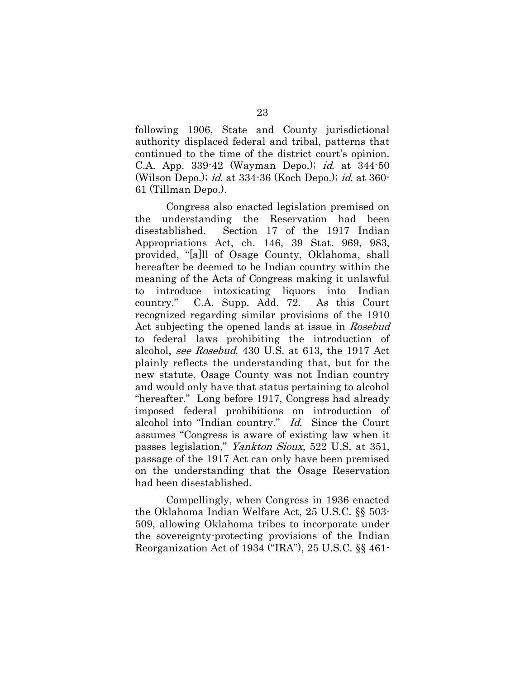following 1906, State and County jurisdictional authority displaced federal and tribal, patterns that continued to the time of the district court's opinion. C.A. App. 339-42 (Wayman Depo.); id. at 344-50 (Wilson Depo.); id. at 334-36 (Koch Depo.); id. at 360- 61 (Tillman Depo.).

Congress also enacted legislation premised on the understanding the Reservation had been disestablished. Section 17 of the 1917 Indian Appropriations Act, ch. 146, 39 Stat. 969, 983, provided, "[a]ll of Osage County, Oklahoma, shall hereafter be deemed to be Indian country within the meaning of the Acts of Congress making it unlawful to introduce intoxicating liquors into Indian country." C.A. Supp. Add. 72. As this Court recognized regarding similar provisions of the 1910 Act subjecting the opened lands at issue in Rosebud to federal laws prohibiting the introduction of alcohol, see Rosebud, 430 U.S. at 613, the 1917 Act plainly reflects the understanding that, but for the new statute, Osage County was not Indian country and would only have that status pertaining to alcohol "hereafter." Long before 1917, Congress had already imposed federal prohibitions on introduction of alcohol into "Indian country." Id. Since the Court assumes "Congress is aware of existing law when it passes legislation," Yankton Sioux, 522 U.S. at 351, passage of the 1917 Act can only have been premised on the understanding that the Osage Reservation had been disestablished.

Compellingly, when Congress in 1936 enacted the Oklahoma Indian Welfare Act, 25 U.S.C. §§ 503- 509, allowing Oklahoma tribes to incorporate under the sovereignty-protecting provisions of the Indian Reorganization Act of 1934 ("IRA"), 25 U.S.C. §§ 461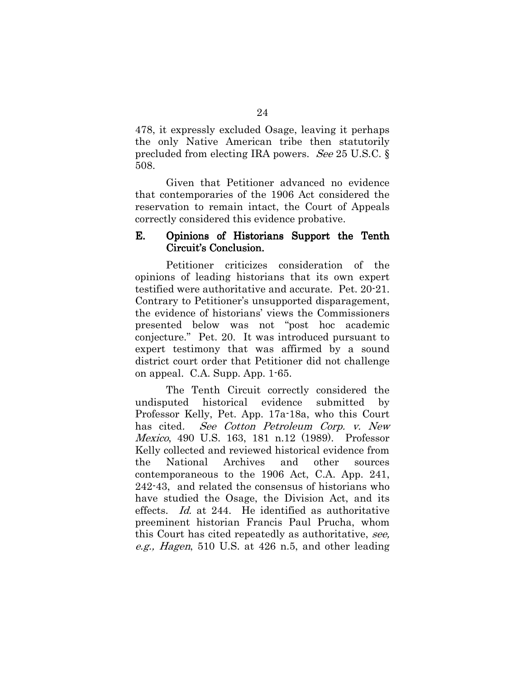478, it expressly excluded Osage, leaving it perhaps the only Native American tribe then statutorily precluded from electing IRA powers. See 25 U.S.C. § 508.

Given that Petitioner advanced no evidence that contemporaries of the 1906 Act considered the reservation to remain intact, the Court of Appeals correctly considered this evidence probative.

#### E. Opinions of Historians Support the Tenth Circuit's Conclusion.

Petitioner criticizes consideration of the opinions of leading historians that its own expert testified were authoritative and accurate. Pet. 20-21. Contrary to Petitioner's unsupported disparagement, the evidence of historians' views the Commissioners presented below was not "post hoc academic conjecture." Pet. 20. It was introduced pursuant to expert testimony that was affirmed by a sound district court order that Petitioner did not challenge on appeal. C.A. Supp. App. 1-65.

The Tenth Circuit correctly considered the undisputed historical evidence submitted by Professor Kelly, Pet. App. 17a-18a, who this Court has cited. See Cotton Petroleum Corp. v. New Mexico, 490 U.S. 163, 181 n.12 (1989). Professor Kelly collected and reviewed historical evidence from the National Archives and other sources contemporaneous to the 1906 Act, C.A. App. 241, 242-43, and related the consensus of historians who have studied the Osage, the Division Act, and its effects. Id. at 244. He identified as authoritative preeminent historian Francis Paul Prucha, whom this Court has cited repeatedly as authoritative, see, e.g., Hagen, 510 U.S. at 426 n.5, and other leading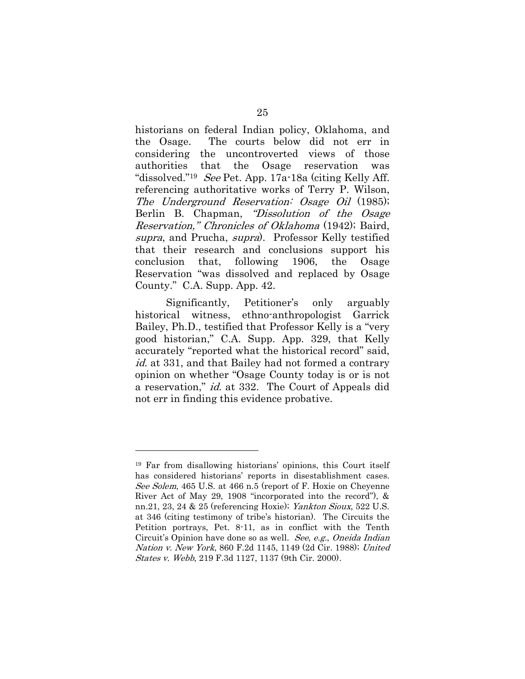historians on federal Indian policy, Oklahoma, and the Osage. The courts below did not err in considering the uncontroverted views of those authorities that the Osage reservation was "dissolved."<sup>19</sup> See Pet. App. 17a-18a (citing Kelly Aff. referencing authoritative works of Terry P. Wilson, The Underground Reservation: Osage Oil (1985); Berlin B. Chapman, *"Dissolution of the Osage* Reservation," Chronicles of Oklahoma (1942); Baird, supra, and Prucha, supra). Professor Kelly testified that their research and conclusions support his conclusion that, following 1906, the Osage Reservation "was dissolved and replaced by Osage County." C.A. Supp. App. 42.

Significantly, Petitioner's only arguably historical witness, ethno-anthropologist Garrick Bailey, Ph.D., testified that Professor Kelly is a "very good historian," C.A. Supp. App. 329, that Kelly accurately "reported what the historical record" said, id. at 331, and that Bailey had not formed a contrary opinion on whether "Osage County today is or is not a reservation," id. at 332. The Court of Appeals did not err in finding this evidence probative.

<sup>19</sup> Far from disallowing historians' opinions, this Court itself has considered historians' reports in disestablishment cases. See Solem, 465 U.S. at 466 n.5 (report of F. Hoxie on Cheyenne River Act of May 29, 1908 "incorporated into the record"), & nn.21, 23, 24 & 25 (referencing Hoxie); Yankton Sioux, 522 U.S. at 346 (citing testimony of tribe's historian). The Circuits the Petition portrays, Pet. 8-11, as in conflict with the Tenth Circuit's Opinion have done so as well. See, e.g., Oneida Indian Nation v. New York, 860 F.2d 1145, 1149 (2d Cir. 1988); United States v. Webb, 219 F.3d 1127, 1137 (9th Cir. 2000).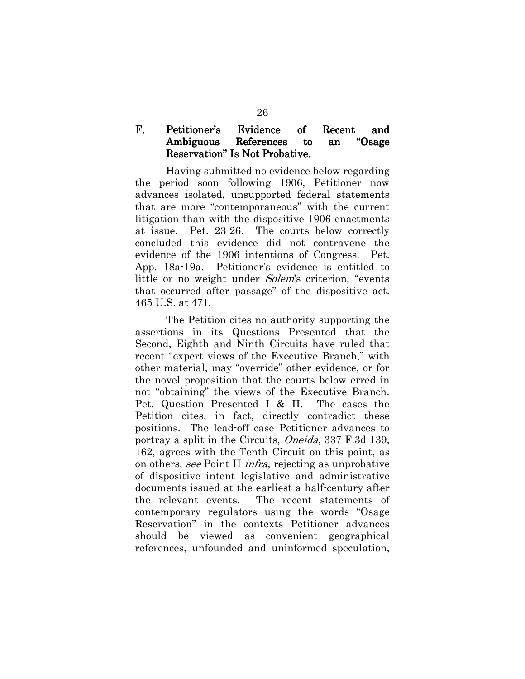# F. Petitioner's Evidence of Recent and Ambiguous References to an "Osage Reservation" Is Not Probative.

 Having submitted no evidence below regarding the period soon following 1906, Petitioner now advances isolated, unsupported federal statements that are more "contemporaneous" with the current litigation than with the dispositive 1906 enactments at issue. Pet. 23-26. The courts below correctly concluded this evidence did not contravene the evidence of the 1906 intentions of Congress. Pet. App. 18a-19a. Petitioner's evidence is entitled to little or no weight under *Solem's* criterion, "events" that occurred after passage" of the dispositive act. 465 U.S. at 471.

The Petition cites no authority supporting the assertions in its Questions Presented that the Second, Eighth and Ninth Circuits have ruled that recent "expert views of the Executive Branch," with other material, may "override" other evidence, or for the novel proposition that the courts below erred in not "obtaining" the views of the Executive Branch. Pet. Question Presented I & II. The cases the Petition cites, in fact, directly contradict these positions. The lead-off case Petitioner advances to portray a split in the Circuits, Oneida, 337 F.3d 139, 162, agrees with the Tenth Circuit on this point, as on others, see Point II infra, rejecting as unprobative of dispositive intent legislative and administrative documents issued at the earliest a half-century after the relevant events. The recent statements of contemporary regulators using the words "Osage Reservation" in the contexts Petitioner advances should be viewed as convenient geographical references, unfounded and uninformed speculation,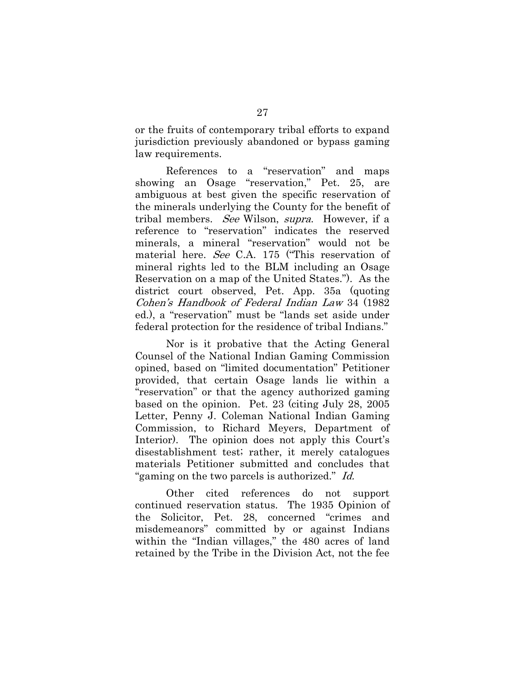or the fruits of contemporary tribal efforts to expand jurisdiction previously abandoned or bypass gaming law requirements.

References to a "reservation" and maps showing an Osage "reservation," Pet. 25, are ambiguous at best given the specific reservation of the minerals underlying the County for the benefit of tribal members. See Wilson, supra. However, if a reference to "reservation" indicates the reserved minerals, a mineral "reservation" would not be material here. See C.A. 175 ("This reservation of mineral rights led to the BLM including an Osage Reservation on a map of the United States."). As the district court observed, Pet. App. 35a (quoting Cohen's Handbook of Federal Indian Law 34 (1982 ed.), a "reservation" must be "lands set aside under federal protection for the residence of tribal Indians."

Nor is it probative that the Acting General Counsel of the National Indian Gaming Commission opined, based on "limited documentation" Petitioner provided, that certain Osage lands lie within a "reservation" or that the agency authorized gaming based on the opinion. Pet. 23 (citing July 28, 2005 Letter, Penny J. Coleman National Indian Gaming Commission, to Richard Meyers, Department of Interior). The opinion does not apply this Court's disestablishment test; rather, it merely catalogues materials Petitioner submitted and concludes that "gaming on the two parcels is authorized." Id.

Other cited references do not support continued reservation status. The 1935 Opinion of the Solicitor, Pet. 28, concerned "crimes and misdemeanors" committed by or against Indians within the "Indian villages," the 480 acres of land retained by the Tribe in the Division Act, not the fee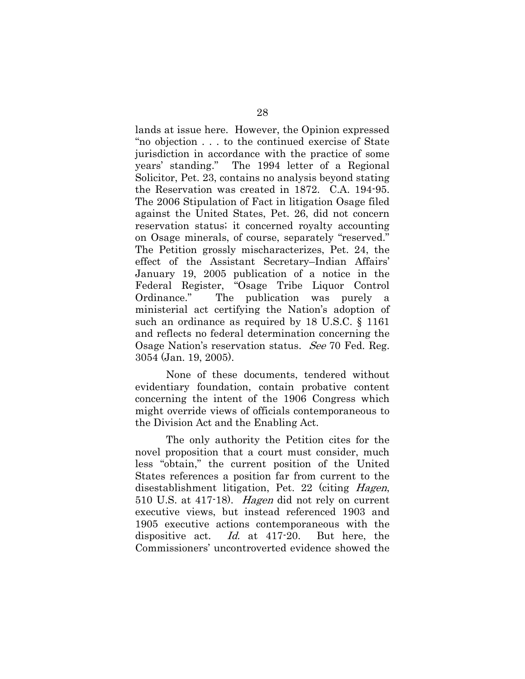lands at issue here. However, the Opinion expressed "no objection . . . to the continued exercise of State jurisdiction in accordance with the practice of some years' standing." The 1994 letter of a Regional Solicitor, Pet. 23, contains no analysis beyond stating the Reservation was created in 1872. C.A. 194-95. The 2006 Stipulation of Fact in litigation Osage filed against the United States, Pet. 26, did not concern reservation status; it concerned royalty accounting on Osage minerals, of course, separately "reserved." The Petition grossly mischaracterizes, Pet. 24, the effect of the Assistant Secretary–Indian Affairs' January 19, 2005 publication of a notice in the Federal Register, "Osage Tribe Liquor Control Ordinance." The publication was purely ministerial act certifying the Nation's adoption of such an ordinance as required by 18 U.S.C. § 1161 and reflects no federal determination concerning the Osage Nation's reservation status. See 70 Fed. Reg. 3054 (Jan. 19, 2005).

None of these documents, tendered without evidentiary foundation, contain probative content concerning the intent of the 1906 Congress which might override views of officials contemporaneous to the Division Act and the Enabling Act.

The only authority the Petition cites for the novel proposition that a court must consider, much less "obtain," the current position of the United States references a position far from current to the disestablishment litigation, Pet. 22 (citing Hagen, 510 U.S. at 417-18). Hagen did not rely on current executive views, but instead referenced 1903 and 1905 executive actions contemporaneous with the dispositive act. Id. at 417-20. But here, the Commissioners' uncontroverted evidence showed the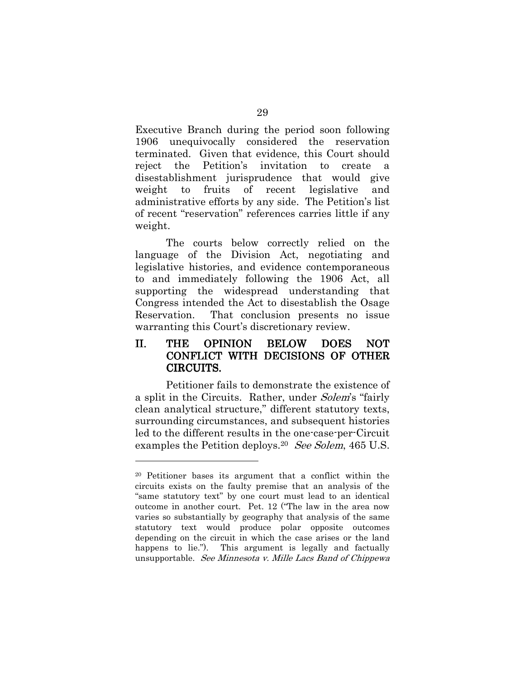Executive Branch during the period soon following 1906 unequivocally considered the reservation terminated. Given that evidence, this Court should reject the Petition's invitation to create a disestablishment jurisprudence that would give weight to fruits of recent legislative and administrative efforts by any side. The Petition's list of recent "reservation" references carries little if any weight.

The courts below correctly relied on the language of the Division Act, negotiating and legislative histories, and evidence contemporaneous to and immediately following the 1906 Act, all supporting the widespread understanding that Congress intended the Act to disestablish the Osage Reservation. That conclusion presents no issue warranting this Court's discretionary review.

# II. THE OPINION BELOW DOES NOT CONFLICT WITH DECISIONS OF OTHER CIRCUITS.

Petitioner fails to demonstrate the existence of a split in the Circuits. Rather, under Solem's "fairly clean analytical structure," different statutory texts, surrounding circumstances, and subsequent histories led to the different results in the one-case-per-Circuit examples the Petition deploys.<sup>20</sup> See Solem, 465 U.S.

<sup>20</sup> Petitioner bases its argument that a conflict within the circuits exists on the faulty premise that an analysis of the "same statutory text" by one court must lead to an identical outcome in another court. Pet. 12 ("The law in the area now varies so substantially by geography that analysis of the same statutory text would produce polar opposite outcomes depending on the circuit in which the case arises or the land happens to lie."). This argument is legally and factually unsupportable. See Minnesota v. Mille Lacs Band of Chippewa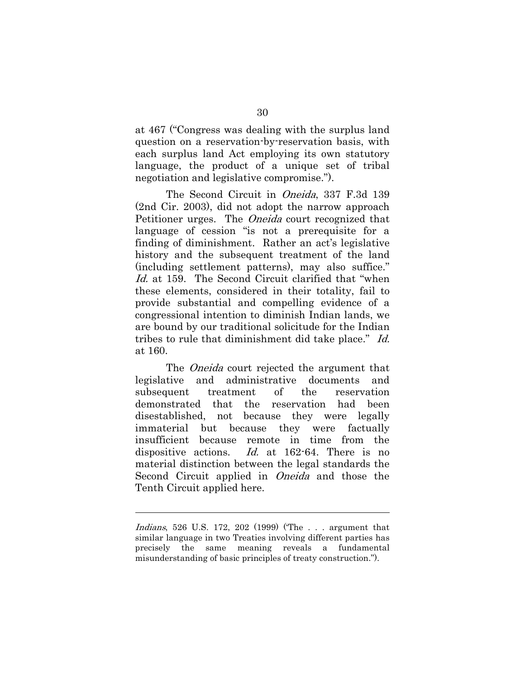at 467 ("Congress was dealing with the surplus land question on a reservation-by-reservation basis, with each surplus land Act employing its own statutory language, the product of a unique set of tribal negotiation and legislative compromise.").

The Second Circuit in *Oneida*, 337 F.3d 139 (2nd Cir. 2003), did not adopt the narrow approach Petitioner urges. The Oneida court recognized that language of cession "is not a prerequisite for a finding of diminishment. Rather an act's legislative history and the subsequent treatment of the land (including settlement patterns), may also suffice." Id. at 159. The Second Circuit clarified that "when these elements, considered in their totality, fail to provide substantial and compelling evidence of a congressional intention to diminish Indian lands, we are bound by our traditional solicitude for the Indian tribes to rule that diminishment did take place." Id. at 160.

The *Oneida* court rejected the argument that legislative and administrative documents and subsequent treatment of the reservation demonstrated that the reservation had been disestablished, not because they were legally immaterial but because they were factually insufficient because remote in time from the dispositive actions. Id. at 162-64. There is no material distinction between the legal standards the Second Circuit applied in Oneida and those the Tenth Circuit applied here.

Indians, 526 U.S. 172, 202 (1999) ('The . . . argument that similar language in two Treaties involving different parties has precisely the same meaning reveals a fundamental misunderstanding of basic principles of treaty construction.").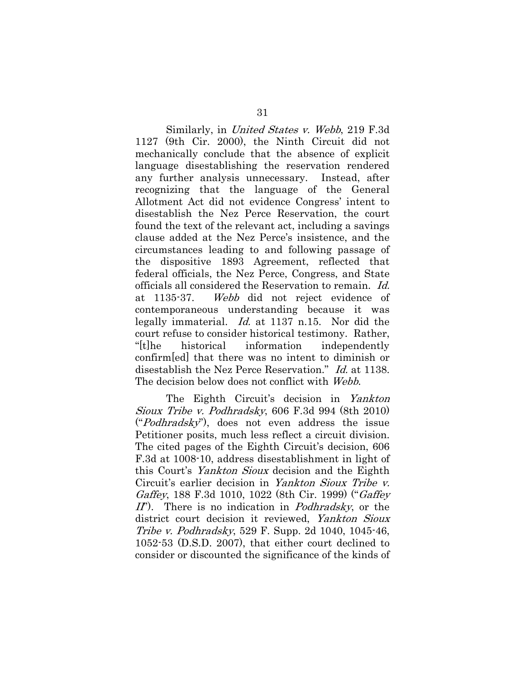Similarly, in United States v. Webb, 219 F.3d 1127 (9th Cir. 2000), the Ninth Circuit did not mechanically conclude that the absence of explicit language disestablishing the reservation rendered any further analysis unnecessary. Instead, after recognizing that the language of the General Allotment Act did not evidence Congress' intent to disestablish the Nez Perce Reservation, the court found the text of the relevant act, including a savings clause added at the Nez Perce's insistence, and the circumstances leading to and following passage of the dispositive 1893 Agreement, reflected that federal officials, the Nez Perce, Congress, and State officials all considered the Reservation to remain. Id. at 1135-37. Webb did not reject evidence of contemporaneous understanding because it was legally immaterial. Id. at 1137 n.15. Nor did the court refuse to consider historical testimony. Rather, "[t]he historical information independently confirm[ed] that there was no intent to diminish or disestablish the Nez Perce Reservation." Id. at 1138. The decision below does not conflict with Webb.

The Eighth Circuit's decision in Yankton Sioux Tribe v. Podhradsky, 606 F.3d 994 (8th 2010) ("Podhradsky"), does not even address the issue Petitioner posits, much less reflect a circuit division. The cited pages of the Eighth Circuit's decision, 606 F.3d at 1008-10, address disestablishment in light of this Court's Yankton Sioux decision and the Eighth Circuit's earlier decision in Yankton Sioux Tribe v. Gaffey, 188 F.3d 1010, 1022 (8th Cir. 1999) ("Gaffey" II"). There is no indication in *Podhradsky*, or the district court decision it reviewed, Yankton Sioux Tribe v. Podhradsky, 529 F. Supp. 2d 1040, 1045-46, 1052-53 (D.S.D. 2007), that either court declined to consider or discounted the significance of the kinds of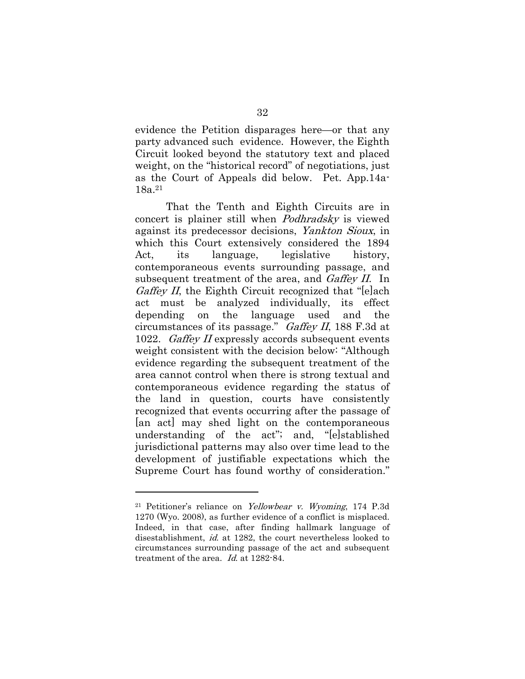evidence the Petition disparages here—or that any party advanced such evidence. However, the Eighth Circuit looked beyond the statutory text and placed weight, on the "historical record" of negotiations, just as the Court of Appeals did below. Pet. App.14a-18a.<sup>21</sup>

That the Tenth and Eighth Circuits are in concert is plainer still when Podhradsky is viewed against its predecessor decisions, Yankton Sioux, in which this Court extensively considered the 1894 Act, its language, legislative history, contemporaneous events surrounding passage, and subsequent treatment of the area, and *Gaffey II*. In Gaffey II, the Eighth Circuit recognized that "lelach" act must be analyzed individually, its effect depending on the language used and the circumstances of its passage." Gaffey II, 188 F.3d at 1022. Gaffey II expressly accords subsequent events weight consistent with the decision below: "Although evidence regarding the subsequent treatment of the area cannot control when there is strong textual and contemporaneous evidence regarding the status of the land in question, courts have consistently recognized that events occurring after the passage of [an act] may shed light on the contemporaneous understanding of the act"; and, "[e]stablished jurisdictional patterns may also over time lead to the development of justifiable expectations which the Supreme Court has found worthy of consideration."

<sup>21</sup> Petitioner's reliance on Yellowbear v. Wyoming, 174 P.3d 1270 (Wyo. 2008), as further evidence of a conflict is misplaced. Indeed, in that case, after finding hallmark language of disestablishment, id. at 1282, the court nevertheless looked to circumstances surrounding passage of the act and subsequent treatment of the area. Id. at 1282-84.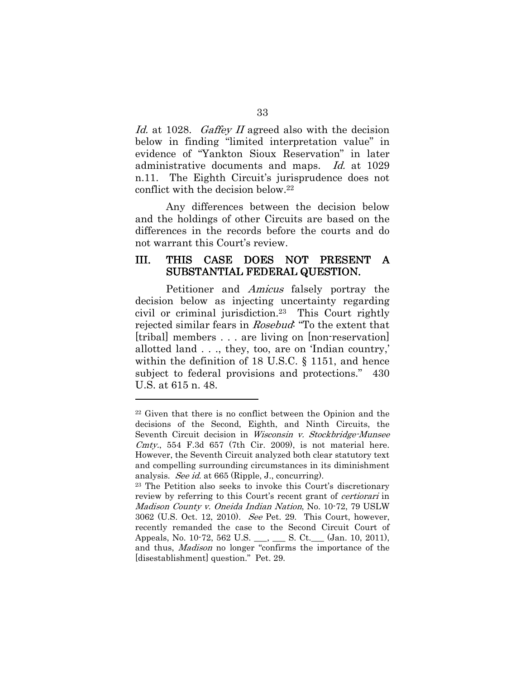Id. at 1028. Gaffey II agreed also with the decision below in finding "limited interpretation value" in evidence of "Yankton Sioux Reservation" in later administrative documents and maps. Id. at 1029 n.11. The Eighth Circuit's jurisprudence does not conflict with the decision below.<sup>22</sup>

Any differences between the decision below and the holdings of other Circuits are based on the differences in the records before the courts and do not warrant this Court's review.

## III. THIS CASE DOES NOT PRESENT A SUBSTANTIAL FEDERAL QUESTION. QUESTION.

Petitioner and Amicus falsely portray the decision below as injecting uncertainty regarding civil or criminal jurisdiction.23 This Court rightly rejected similar fears in Rosebud: "To the extent that [tribal] members . . . are living on [non-reservation] allotted land . . ., they, too, are on 'Indian country,' within the definition of 18 U.S.C. § 1151, and hence subject to federal provisions and protections." 430 U.S. at 615 n. 48.

<sup>22</sup> Given that there is no conflict between the Opinion and the decisions of the Second, Eighth, and Ninth Circuits, the Seventh Circuit decision in Wisconsin v. Stockbridge-Munsee Cmty., 554 F.3d  $657$  (7th Cir. 2009), is not material here. However, the Seventh Circuit analyzed both clear statutory text and compelling surrounding circumstances in its diminishment analysis. See id. at 665 (Ripple, J., concurring).

<sup>23</sup> The Petition also seeks to invoke this Court's discretionary review by referring to this Court's recent grant of *certiorari* in Madison County v. Oneida Indian Nation, No. 10-72, 79 USLW 3062 (U.S. Oct. 12, 2010). See Pet. 29. This Court, however, recently remanded the case to the Second Circuit Court of Appeals, No. 10-72, 562 U.S. \_\_\_, \_\_\_ S. Ct.\_\_\_ (Jan. 10, 2011), and thus, *Madison* no longer "confirms the importance of the [disestablishment] question." Pet. 29.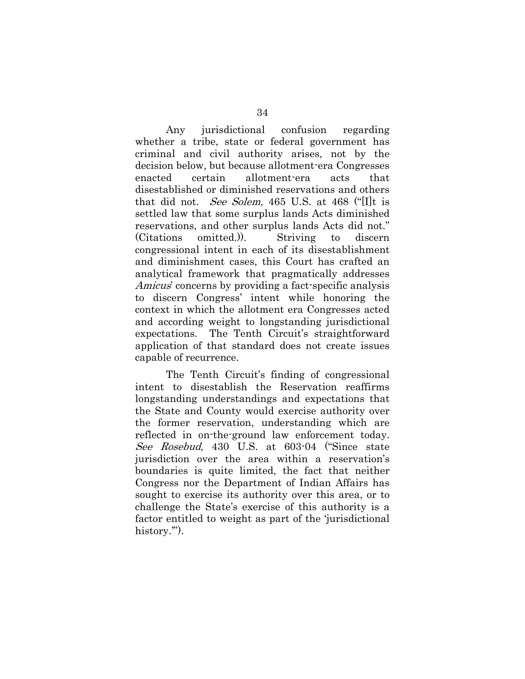Any jurisdictional confusion regarding whether a tribe, state or federal government has criminal and civil authority arises, not by the decision below, but because allotment-era Congresses enacted certain allotment-era acts that disestablished or diminished reservations and others that did not. See Solem, 465 U.S. at 468 ("[I]t is settled law that some surplus lands Acts diminished reservations, and other surplus lands Acts did not." (Citations omitted.)). Striving to discern congressional intent in each of its disestablishment and diminishment cases, this Court has crafted an analytical framework that pragmatically addresses Amicus' concerns by providing a fact-specific analysis to discern Congress' intent while honoring the context in which the allotment era Congresses acted and according weight to longstanding jurisdictional expectations. The Tenth Circuit's straightforward application of that standard does not create issues capable of recurrence.

The Tenth Circuit's finding of congressional intent to disestablish the Reservation reaffirms longstanding understandings and expectations that the State and County would exercise authority over the former reservation, understanding which are reflected in on-the-ground law enforcement today. See Rosebud, 430 U.S. at 603-04 ("Since state jurisdiction over the area within a reservation's boundaries is quite limited, the fact that neither Congress nor the Department of Indian Affairs has sought to exercise its authority over this area, or to challenge the State's exercise of this authority is a factor entitled to weight as part of the 'jurisdictional history."").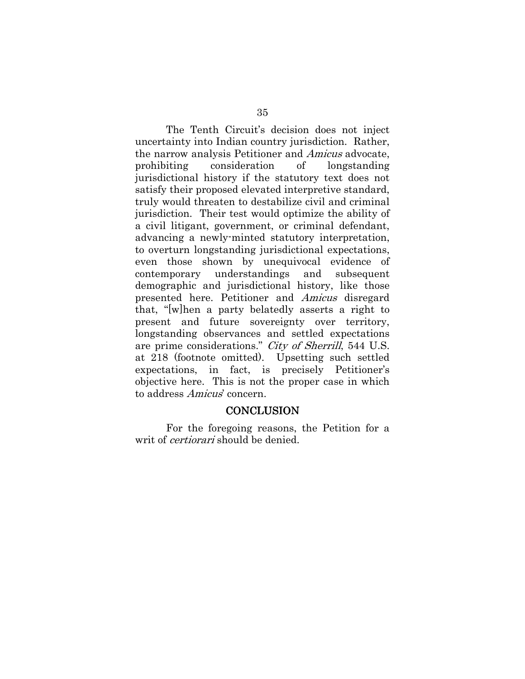The Tenth Circuit's decision does not inject uncertainty into Indian country jurisdiction. Rather, the narrow analysis Petitioner and Amicus advocate, prohibiting consideration of longstanding jurisdictional history if the statutory text does not satisfy their proposed elevated interpretive standard, truly would threaten to destabilize civil and criminal jurisdiction. Their test would optimize the ability of a civil litigant, government, or criminal defendant, advancing a newly-minted statutory interpretation, to overturn longstanding jurisdictional expectations, even those shown by unequivocal evidence of contemporary understandings and subsequent demographic and jurisdictional history, like those presented here. Petitioner and Amicus disregard that, "[w]hen a party belatedly asserts a right to present and future sovereignty over territory, longstanding observances and settled expectations are prime considerations." City of Sherrill, 544 U.S. at 218 (footnote omitted). Upsetting such settled expectations, in fact, is precisely Petitioner's objective here. This is not the proper case in which to address Amicus' concern.

#### **CONCLUSION**

For the foregoing reasons, the Petition for a writ of *certiorari* should be denied.